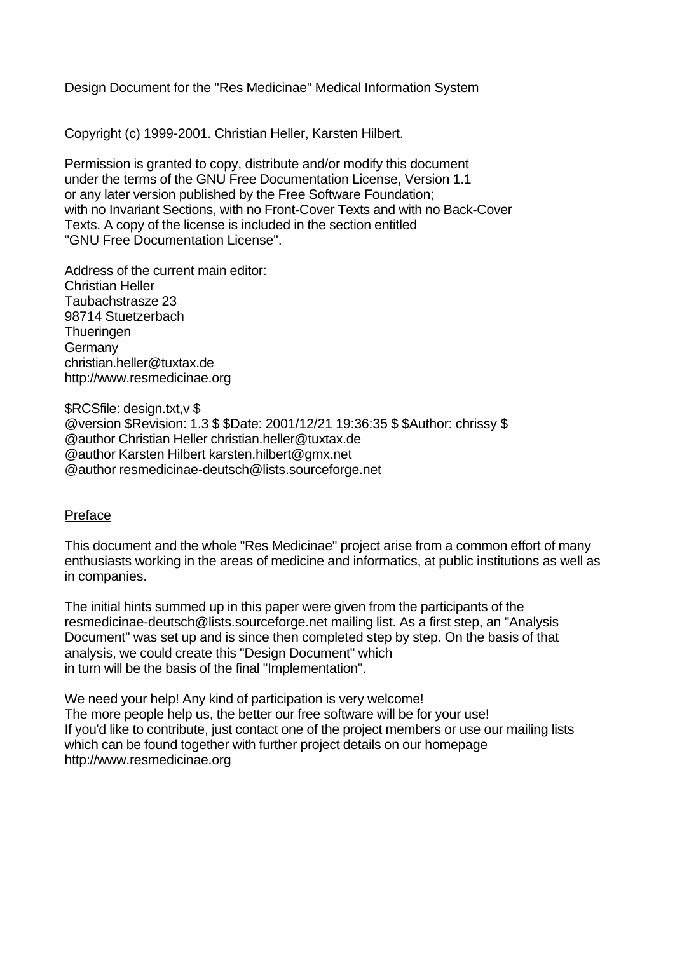Design Document for the "Res Medicinae" Medical Information System

Copyright (c) 1999-2001. Christian Heller, Karsten Hilbert.

Permission is granted to copy, distribute and/or modify this document under the terms of the GNU Free Documentation License, Version 1.1 or any later version published by the Free Software Foundation; with no Invariant Sections, with no Front-Cover Texts and with no Back-Cover Texts. A copy of the license is included in the section entitled "GNU Free Documentation License".

Address of the current main editor: Christian Heller Taubachstrasze 23 98714 Stuetzerbach **Thueringen Germany** christian.heller@tuxtax.de http://www.resmedicinae.org

\$RCSfile: design.txt,v \$ @version \$Revision: 1.3 \$ \$Date: 2001/12/21 19:36:35 \$ \$Author: chrissy \$ @author Christian Heller christian.heller@tuxtax.de @author Karsten Hilbert karsten.hilbert@gmx.net @author resmedicinae-deutsch@lists.sourceforge.net

### Preface

This document and the whole "Res Medicinae" project arise from a common effort of many enthusiasts working in the areas of medicine and informatics, at public institutions as well as in companies.

The initial hints summed up in this paper were given from the participants of the resmedicinae-deutsch@lists.sourceforge.net mailing list. As a first step, an "Analysis Document" was set up and is since then completed step by step. On the basis of that analysis, we could create this "Design Document" which in turn will be the basis of the final "Implementation".

We need your help! Any kind of participation is very welcome! The more people help us, the better our free software will be for your use! If you'd like to contribute, just contact one of the project members or use our mailing lists which can be found together with further project details on our homepage http://www.resmedicinae.org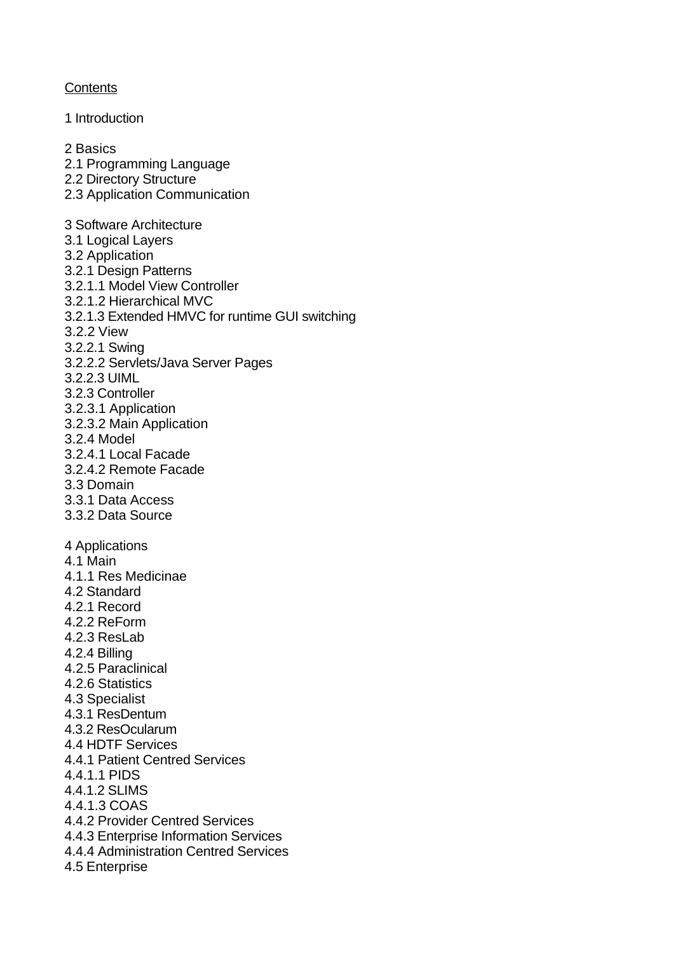## **Contents**

1 Introduction 2 Basics 2.1 Programming Language 2.2 Directory Structure 2.3 Application Communication 3 Software Architecture 3.1 Logical Layers 3.2 Application 3.2.1 Design Patterns 3.2.1.1 Model View Controller 3.2.1.2 Hierarchical MVC 3.2.1.3 Extended HMVC for runtime GUI switching 3.2.2 View 3.2.2.1 Swing 3.2.2.2 Servlets/Java Server Pages 3.2.2.3 UIML 3.2.3 Controller 3.2.3.1 Application 3.2.3.2 Main Application 3.2.4 Model 3.2.4.1 Local Facade 3.2.4.2 Remote Facade 3.3 Domain 3.3.1 Data Access 3.3.2 Data Source 4 Applications 4.1 Main 4.1.1 Res Medicinae 4.2 Standard 4.2.1 Record 4.2.2 ReForm 4.2.3 ResLab 4.2.4 Billing 4.2.5 Paraclinical 4.2.6 Statistics 4.3 Specialist 4.3.1 ResDentum 4.3.2 ResOcularum 4.4 HDTF Services 4.4.1 Patient Centred Services 4.4.1.1 PIDS 4.4.1.2 SLIMS 4.4.1.3 COAS 4.4.2 Provider Centred Services 4.4.3 Enterprise Information Services 4.4.4 Administration Centred Services 4.5 Enterprise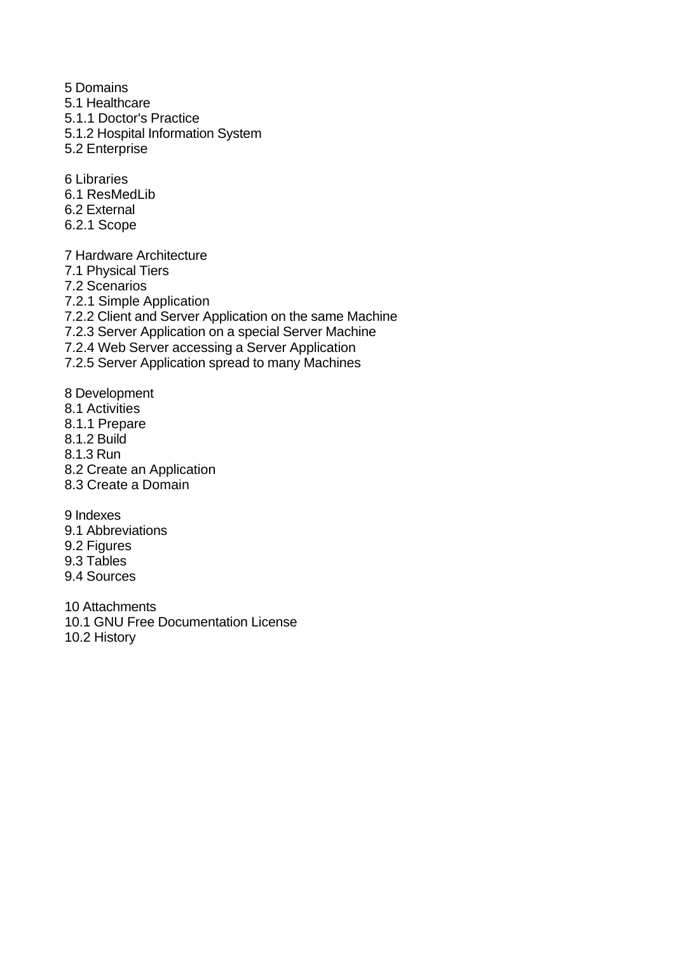5 Domains

- 5.1 Healthcare
- 5.1.1 Doctor's Practice
- 5.1.2 Hospital Information System
- 5.2 Enterprise

6 Libraries

- 6.1 ResMedLib
- 6.2 External
- 6.2.1 Scope

7 Hardware Architecture

- 7.1 Physical Tiers
- 7.2 Scenarios

7.2.1 Simple Application

7.2.2 Client and Server Application on the same Machine

7.2.3 Server Application on a special Server Machine

7.2.4 Web Server accessing a Server Application

7.2.5 Server Application spread to many Machines

8 Development

- 8.1 Activities
- 8.1.1 Prepare
- 8.1.2 Build
- 8.1.3 Run
- 8.2 Create an Application
- 8.3 Create a Domain

9 Indexes

- 9.1 Abbreviations
- 9.2 Figures
- 9.3 Tables
- 9.4 Sources

10 Attachments 10.1 GNU Free Documentation License 10.2 History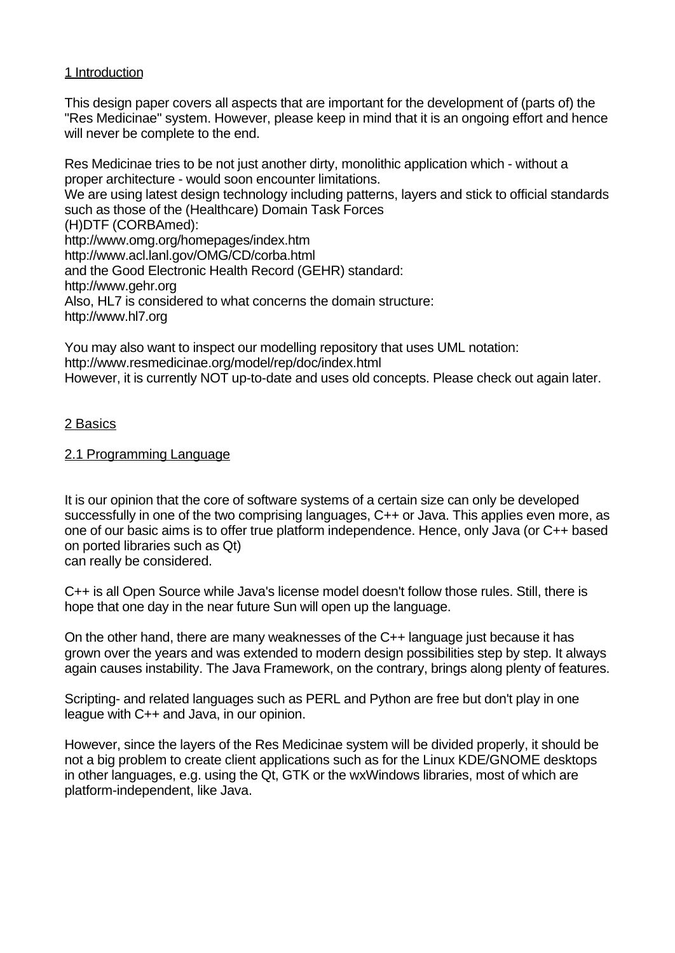## 1 Introduction

This design paper covers all aspects that are important for the development of (parts of) the "Res Medicinae" system. However, please keep in mind that it is an ongoing effort and hence will never be complete to the end.

Res Medicinae tries to be not just another dirty, monolithic application which - without a proper architecture - would soon encounter limitations. We are using latest design technology including patterns, layers and stick to official standards such as those of the (Healthcare) Domain Task Forces (H)DTF (CORBAmed): http://www.omg.org/homepages/index.htm http://www.acl.lanl.gov/OMG/CD/corba.html and the Good Electronic Health Record (GEHR) standard: http://www.gehr.org Also, HL7 is considered to what concerns the domain structure: http://www.hl7.org

You may also want to inspect our modelling repository that uses UML notation: http://www.resmedicinae.org/model/rep/doc/index.html However, it is currently NOT up-to-date and uses old concepts. Please check out again later.

## 2 Basics

## 2.1 Programming Language

It is our opinion that the core of software systems of a certain size can only be developed successfully in one of the two comprising languages, C++ or Java. This applies even more, as one of our basic aims is to offer true platform independence. Hence, only Java (or C++ based on ported libraries such as Qt) can really be considered.

C++ is all Open Source while Java's license model doesn't follow those rules. Still, there is hope that one day in the near future Sun will open up the language.

On the other hand, there are many weaknesses of the C++ language just because it has grown over the years and was extended to modern design possibilities step by step. It always again causes instability. The Java Framework, on the contrary, brings along plenty of features.

Scripting- and related languages such as PERL and Python are free but don't play in one league with C++ and Java, in our opinion.

However, since the layers of the Res Medicinae system will be divided properly, it should be not a big problem to create client applications such as for the Linux KDE/GNOME desktops in other languages, e.g. using the Qt, GTK or the wxWindows libraries, most of which are platform-independent, like Java.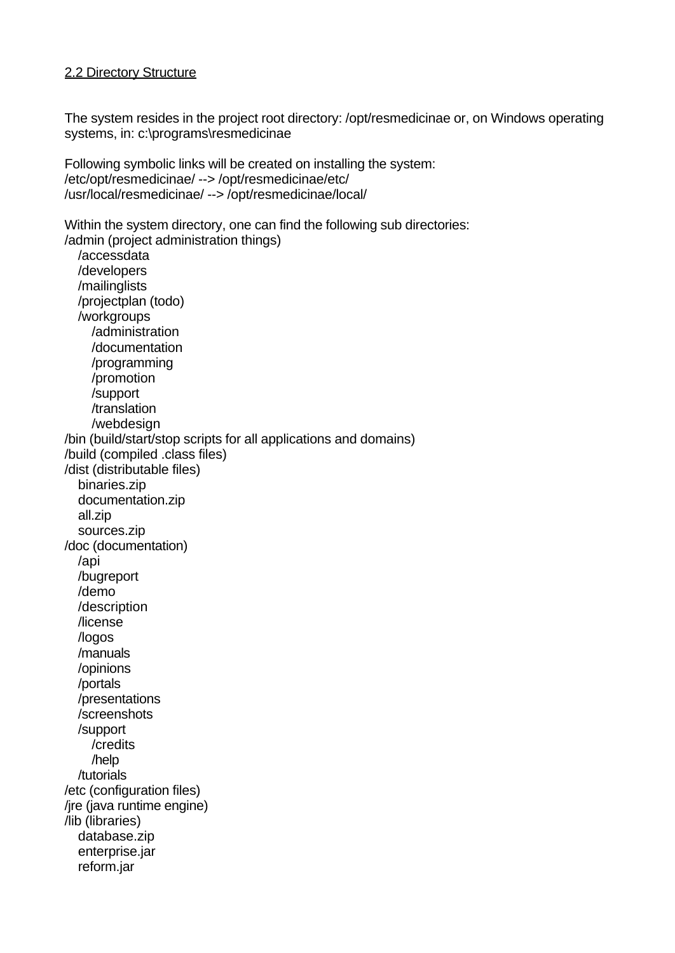#### 2.2 Directory Structure

The system resides in the project root directory: /opt/resmedicinae or, on Windows operating systems, in: c:\programs\resmedicinae

Following symbolic links will be created on installing the system: /etc/opt/resmedicinae/ --> /opt/resmedicinae/etc/ /usr/local/resmedicinae/ --> /opt/resmedicinae/local/

Within the system directory, one can find the following sub directories: /admin (project administration things)

 /accessdata /developers /mailinglists /projectplan (todo) /workgroups /administration /documentation /programming /promotion /support /translation /webdesign /bin (build/start/stop scripts for all applications and domains) /build (compiled .class files) /dist (distributable files) binaries.zip documentation.zip all.zip sources.zip /doc (documentation) /api /bugreport /demo /description /license /logos /manuals /opinions /portals /presentations /screenshots /support /credits /help /tutorials /etc (configuration files) /jre (java runtime engine) /lib (libraries) database.zip enterprise.jar reform.jar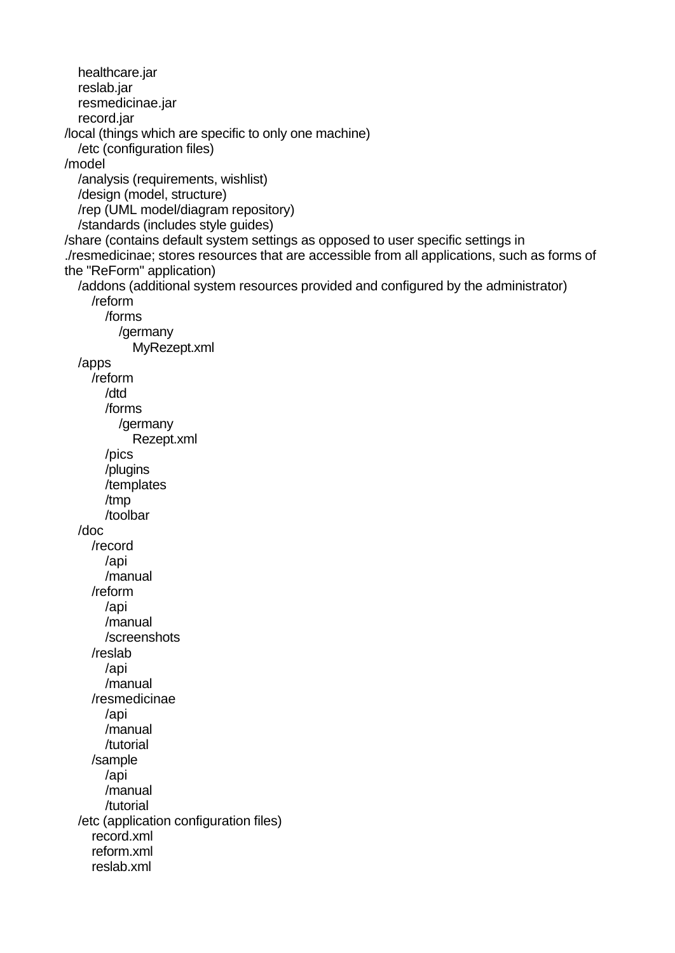healthcare.jar reslab.jar resmedicinae.jar record.jar /local (things which are specific to only one machine) /etc (configuration files) /model /analysis (requirements, wishlist) /design (model, structure) /rep (UML model/diagram repository) /standards (includes style guides) /share (contains default system settings as opposed to user specific settings in ./resmedicinae; stores resources that are accessible from all applications, such as forms of the "ReForm" application) /addons (additional system resources provided and configured by the administrator) /reform /forms /germany MyRezept.xml /apps /reform /dtd /forms /germany Rezept.xml /pics /plugins /templates /tmp /toolbar /doc /record /api /manual /reform /api /manual /screenshots /reslab /api /manual /resmedicinae /api /manual /tutorial /sample /api /manual /tutorial /etc (application configuration files) record.xml reform.xml reslab.xml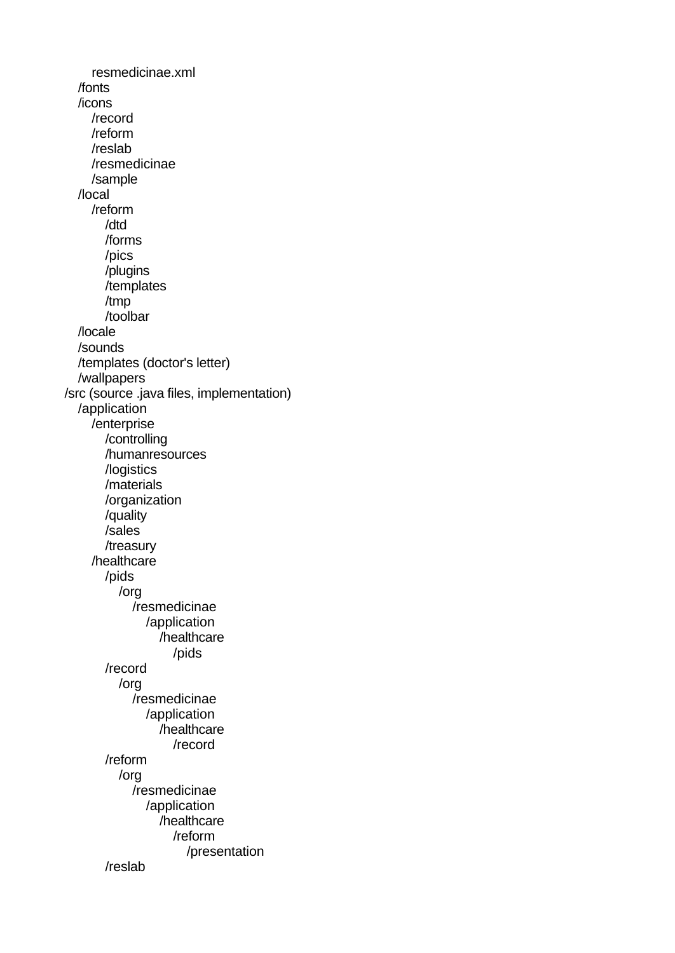resmedicinae.xml /fonts /icons /record /reform /reslab /resmedicinae /sample /local /reform /dtd /forms /pics /plugins /templates /tmp /toolbar /locale /sounds /templates (doctor's letter) /wallpapers /src (source .java files, implementation) /application /enterprise /controlling /humanresources /logistics /materials /organization /quality /sales /treasury /healthcare /pids /org /resmedicinae /application /healthcare /pids /record /org /resmedicinae /application /healthcare /record /reform /org /resmedicinae /application /healthcare /reform /presentation /reslab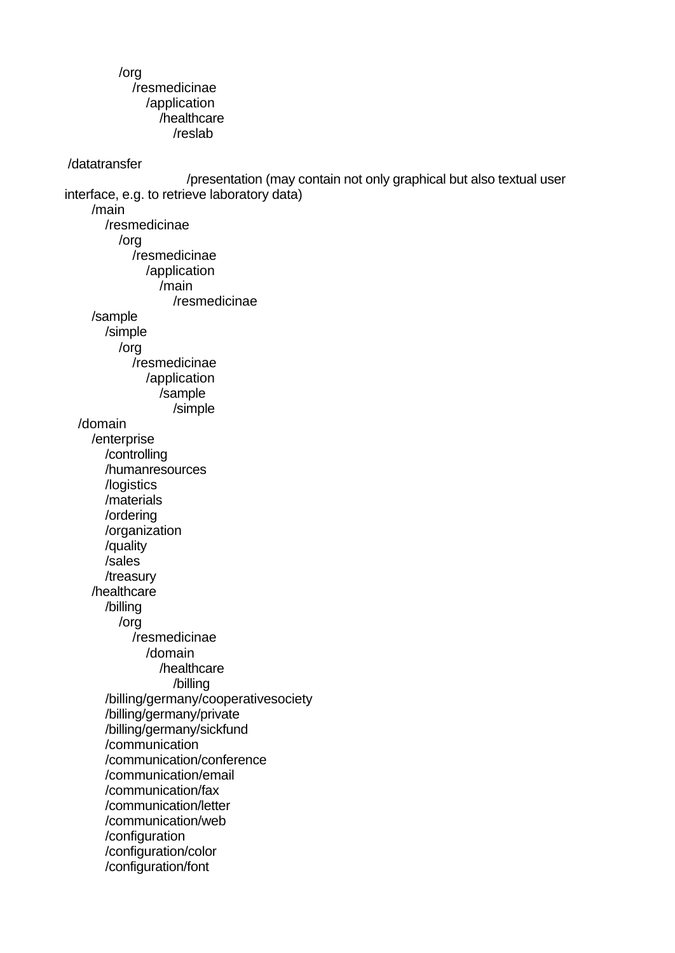## /org /resmedicinae /application /healthcare /reslab

/datatransfer

 /presentation (may contain not only graphical but also textual user interface, e.g. to retrieve laboratory data) /main /resmedicinae /org /resmedicinae /application /main /resmedicinae /sample /simple /org /resmedicinae /application /sample /simple /domain /enterprise /controlling /humanresources /logistics /materials /ordering /organization /quality /sales /treasury /healthcare /billing /org /resmedicinae /domain /healthcare /billing /billing/germany/cooperativesociety /billing/germany/private /billing/germany/sickfund /communication /communication/conference /communication/email /communication/fax /communication/letter /communication/web /configuration /configuration/color /configuration/font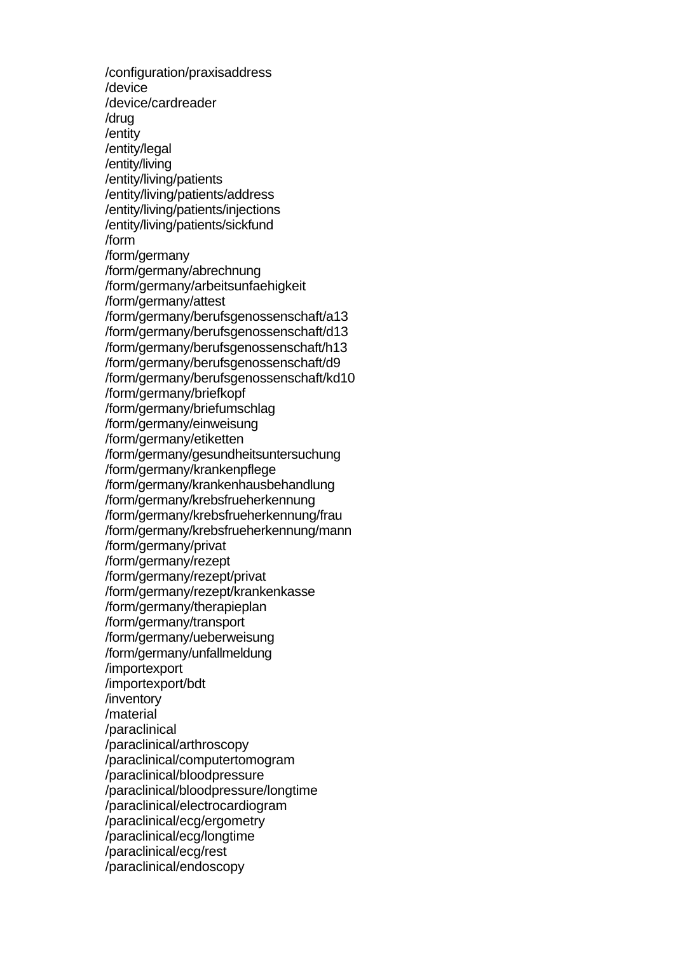/configuration/praxisaddress /device /device/cardreader /drug /entity /entity/legal /entity/living /entity/living/patients /entity/living/patients/address /entity/living/patients/injections /entity/living/patients/sickfund /form /form/germany /form/germany/abrechnung /form/germany/arbeitsunfaehigkeit /form/germany/attest /form/germany/berufsgenossenschaft/a13 /form/germany/berufsgenossenschaft/d13 /form/germany/berufsgenossenschaft/h13 /form/germany/berufsgenossenschaft/d9 /form/germany/berufsgenossenschaft/kd10 /form/germany/briefkopf /form/germany/briefumschlag /form/germany/einweisung /form/germany/etiketten /form/germany/gesundheitsuntersuchung /form/germany/krankenpflege /form/germany/krankenhausbehandlung /form/germany/krebsfrueherkennung /form/germany/krebsfrueherkennung/frau /form/germany/krebsfrueherkennung/mann /form/germany/privat /form/germany/rezept /form/germany/rezept/privat /form/germany/rezept/krankenkasse /form/germany/therapieplan /form/germany/transport /form/germany/ueberweisung /form/germany/unfallmeldung /importexport /importexport/bdt /inventory /material /paraclinical /paraclinical/arthroscopy /paraclinical/computertomogram /paraclinical/bloodpressure /paraclinical/bloodpressure/longtime /paraclinical/electrocardiogram /paraclinical/ecg/ergometry /paraclinical/ecg/longtime /paraclinical/ecg/rest /paraclinical/endoscopy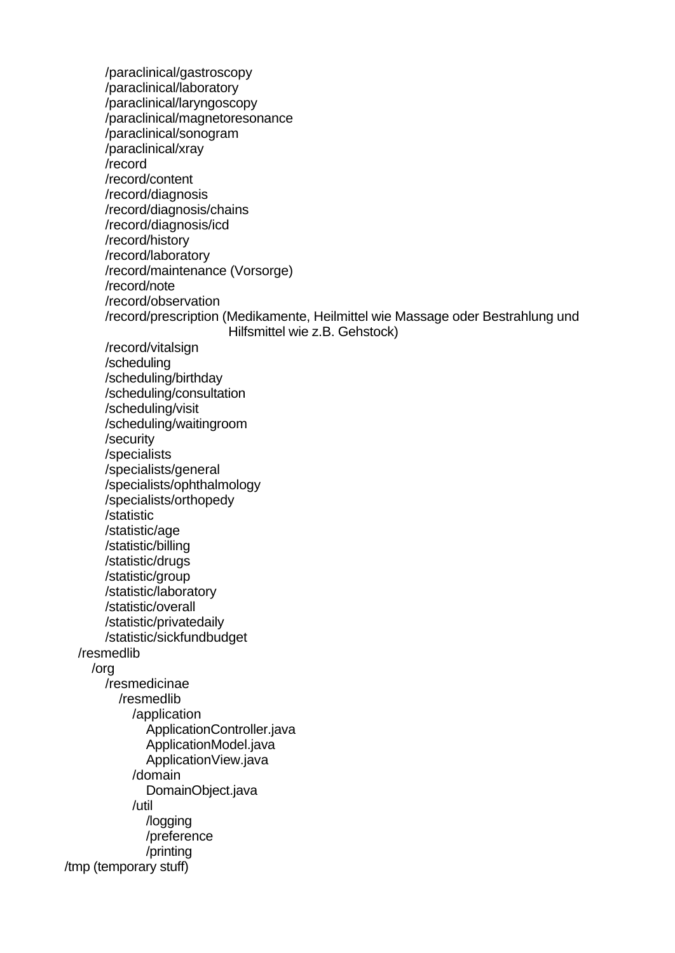/paraclinical/gastroscopy /paraclinical/laboratory /paraclinical/laryngoscopy /paraclinical/magnetoresonance /paraclinical/sonogram /paraclinical/xray /record /record/content /record/diagnosis /record/diagnosis/chains /record/diagnosis/icd /record/history /record/laboratory /record/maintenance (Vorsorge) /record/note /record/observation /record/prescription (Medikamente, Heilmittel wie Massage oder Bestrahlung und Hilfsmittel wie z.B. Gehstock) /record/vitalsign /scheduling /scheduling/birthday /scheduling/consultation /scheduling/visit /scheduling/waitingroom /security /specialists /specialists/general /specialists/ophthalmology /specialists/orthopedy /statistic /statistic/age /statistic/billing /statistic/drugs /statistic/group /statistic/laboratory /statistic/overall /statistic/privatedaily /statistic/sickfundbudget /resmedlib /org /resmedicinae /resmedlib /application ApplicationController.java ApplicationModel.java ApplicationView.java /domain DomainObject.java /util /logging /preference /printing /tmp (temporary stuff)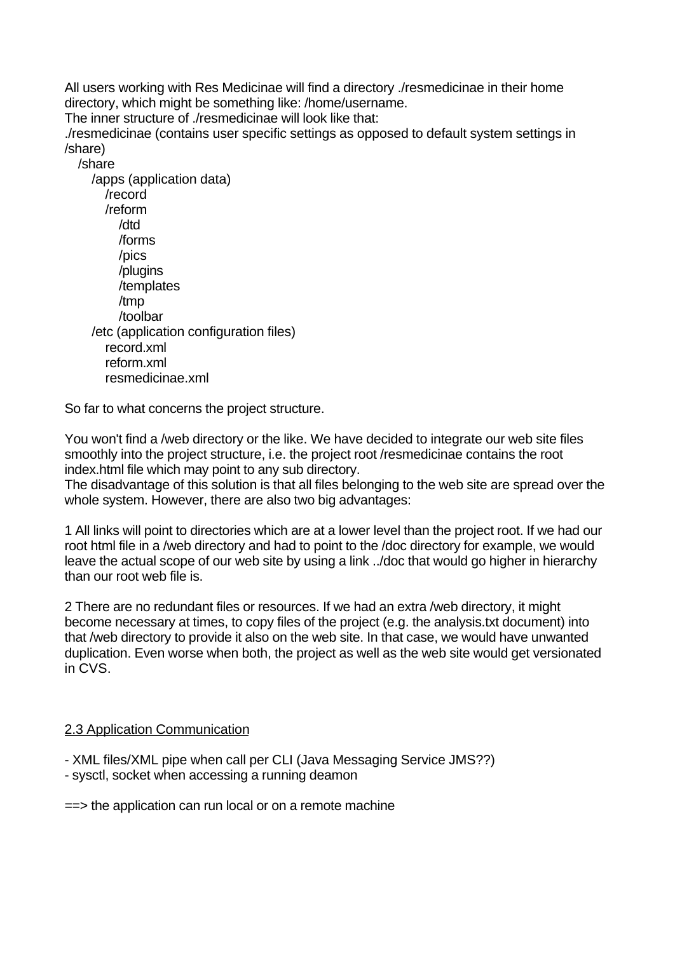All users working with Res Medicinae will find a directory ./resmedicinae in their home directory, which might be something like: /home/username.

The inner structure of ./resmedicinae will look like that:

./resmedicinae (contains user specific settings as opposed to default system settings in /share)

/share

## /apps (application data) /record /reform /dtd /forms /pics /plugins /templates /tmp /toolbar /etc (application configuration files) record.xml reform.xml resmedicinae.xml

So far to what concerns the project structure.

You won't find a /web directory or the like. We have decided to integrate our web site files smoothly into the project structure, i.e. the project root /resmedicinae contains the root index.html file which may point to any sub directory.

The disadvantage of this solution is that all files belonging to the web site are spread over the whole system. However, there are also two big advantages:

1 All links will point to directories which are at a lower level than the project root. If we had our root html file in a /web directory and had to point to the /doc directory for example, we would leave the actual scope of our web site by using a link ../doc that would go higher in hierarchy than our root web file is.

2 There are no redundant files or resources. If we had an extra /web directory, it might become necessary at times, to copy files of the project (e.g. the analysis.txt document) into that /web directory to provide it also on the web site. In that case, we would have unwanted duplication. Even worse when both, the project as well as the web site would get versionated in CVS.

# 2.3 Application Communication

- XML files/XML pipe when call per CLI (Java Messaging Service JMS??)

- sysctl, socket when accessing a running deamon

==> the application can run local or on a remote machine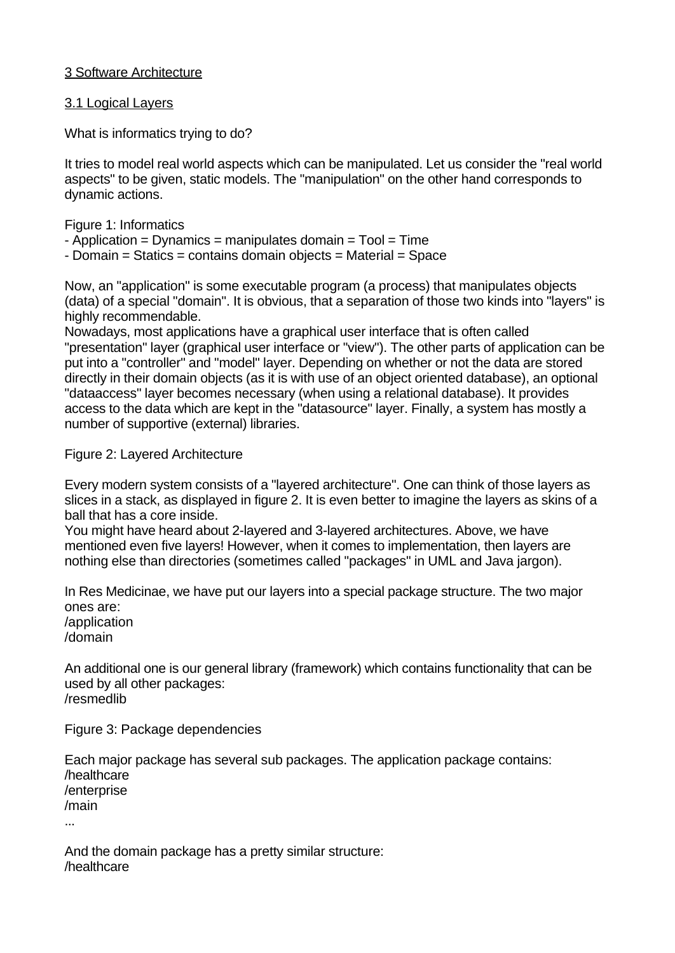# 3 Software Architecture

# 3.1 Logical Layers

What is informatics trying to do?

It tries to model real world aspects which can be manipulated. Let us consider the "real world aspects" to be given, static models. The "manipulation" on the other hand corresponds to dynamic actions.

Figure 1: Informatics

- $-$  Application = Dynamics = manipulates domain = Tool = Time
- Domain = Statics = contains domain objects = Material = Space

Now, an "application" is some executable program (a process) that manipulates objects (data) of a special "domain". It is obvious, that a separation of those two kinds into "layers" is highly recommendable.

Nowadays, most applications have a graphical user interface that is often called "presentation" layer (graphical user interface or "view"). The other parts of application can be put into a "controller" and "model" layer. Depending on whether or not the data are stored directly in their domain objects (as it is with use of an object oriented database), an optional "dataaccess" layer becomes necessary (when using a relational database). It provides access to the data which are kept in the "datasource" layer. Finally, a system has mostly a number of supportive (external) libraries.

Figure 2: Layered Architecture

Every modern system consists of a "layered architecture". One can think of those layers as slices in a stack, as displayed in figure 2. It is even better to imagine the layers as skins of a ball that has a core inside.

You might have heard about 2-layered and 3-layered architectures. Above, we have mentioned even five layers! However, when it comes to implementation, then layers are nothing else than directories (sometimes called "packages" in UML and Java jargon).

In Res Medicinae, we have put our layers into a special package structure. The two major ones are:

/application /domain

An additional one is our general library (framework) which contains functionality that can be used by all other packages: /resmedlib

Figure 3: Package dependencies

Each major package has several sub packages. The application package contains: /healthcare /enterprise /main ...

And the domain package has a pretty similar structure: /healthcare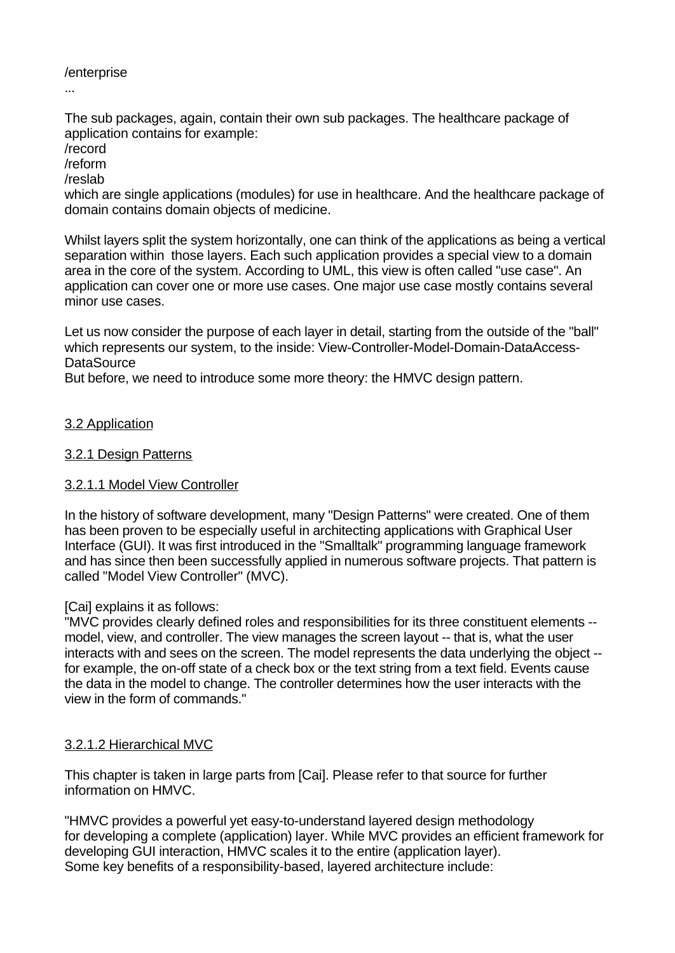# /enterprise

...

The sub packages, again, contain their own sub packages. The healthcare package of application contains for example:

/record

/reform

/reslab

which are single applications (modules) for use in healthcare. And the healthcare package of domain contains domain objects of medicine.

Whilst layers split the system horizontally, one can think of the applications as being a vertical separation within those layers. Each such application provides a special view to a domain area in the core of the system. According to UML, this view is often called "use case". An application can cover one or more use cases. One major use case mostly contains several minor use cases.

Let us now consider the purpose of each layer in detail, starting from the outside of the "ball" which represents our system, to the inside: View-Controller-Model-Domain-DataAccess-**DataSource** 

But before, we need to introduce some more theory: the HMVC design pattern.

# 3.2 Application

# 3.2.1 Design Patterns

# 3.2.1.1 Model View Controller

In the history of software development, many "Design Patterns" were created. One of them has been proven to be especially useful in architecting applications with Graphical User Interface (GUI). It was first introduced in the "Smalltalk" programming language framework and has since then been successfully applied in numerous software projects. That pattern is called "Model View Controller" (MVC).

# [Cai] explains it as follows:

"MVC provides clearly defined roles and responsibilities for its three constituent elements - model, view, and controller. The view manages the screen layout -- that is, what the user interacts with and sees on the screen. The model represents the data underlying the object - for example, the on-off state of a check box or the text string from a text field. Events cause the data in the model to change. The controller determines how the user interacts with the view in the form of commands."

# 3.2.1.2 Hierarchical MVC

This chapter is taken in large parts from [Cai]. Please refer to that source for further information on HMVC.

"HMVC provides a powerful yet easy-to-understand layered design methodology for developing a complete (application) layer. While MVC provides an efficient framework for developing GUI interaction, HMVC scales it to the entire (application layer). Some key benefits of a responsibility-based, layered architecture include: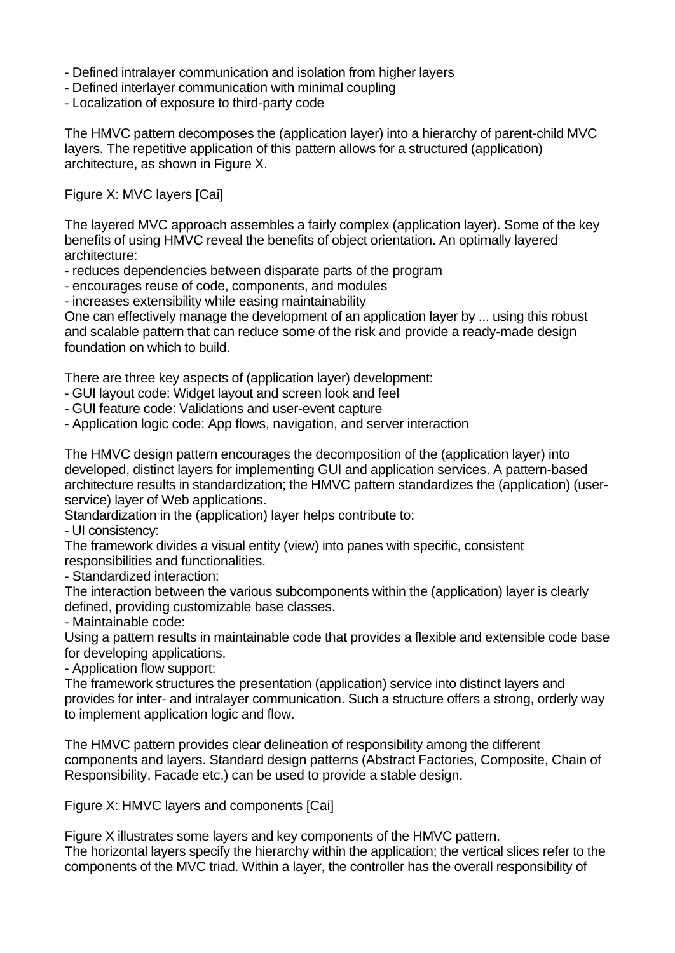- Defined intralayer communication and isolation from higher layers
- Defined interlayer communication with minimal coupling
- Localization of exposure to third-party code

The HMVC pattern decomposes the (application layer) into a hierarchy of parent-child MVC layers. The repetitive application of this pattern allows for a structured (application) architecture, as shown in Figure X.

Figure X: MVC layers [Cai]

The layered MVC approach assembles a fairly complex (application layer). Some of the key benefits of using HMVC reveal the benefits of object orientation. An optimally layered architecture:

- reduces dependencies between disparate parts of the program
- encourages reuse of code, components, and modules
- increases extensibility while easing maintainability

One can effectively manage the development of an application layer by ... using this robust and scalable pattern that can reduce some of the risk and provide a ready-made design foundation on which to build.

There are three key aspects of (application layer) development:

- GUI layout code: Widget layout and screen look and feel
- GUI feature code: Validations and user-event capture

- Application logic code: App flows, navigation, and server interaction

The HMVC design pattern encourages the decomposition of the (application layer) into developed, distinct layers for implementing GUI and application services. A pattern-based architecture results in standardization; the HMVC pattern standardizes the (application) (userservice) layer of Web applications.

Standardization in the (application) layer helps contribute to:

- UI consistency:

The framework divides a visual entity (view) into panes with specific, consistent responsibilities and functionalities.

- Standardized interaction:

The interaction between the various subcomponents within the (application) layer is clearly defined, providing customizable base classes.

- Maintainable code:

Using a pattern results in maintainable code that provides a flexible and extensible code base for developing applications.

- Application flow support:

The framework structures the presentation (application) service into distinct layers and provides for inter- and intralayer communication. Such a structure offers a strong, orderly way to implement application logic and flow.

The HMVC pattern provides clear delineation of responsibility among the different components and layers. Standard design patterns (Abstract Factories, Composite, Chain of Responsibility, Facade etc.) can be used to provide a stable design.

Figure X: HMVC layers and components [Cai]

Figure X illustrates some layers and key components of the HMVC pattern. The horizontal layers specify the hierarchy within the application; the vertical slices refer to the components of the MVC triad. Within a layer, the controller has the overall responsibility of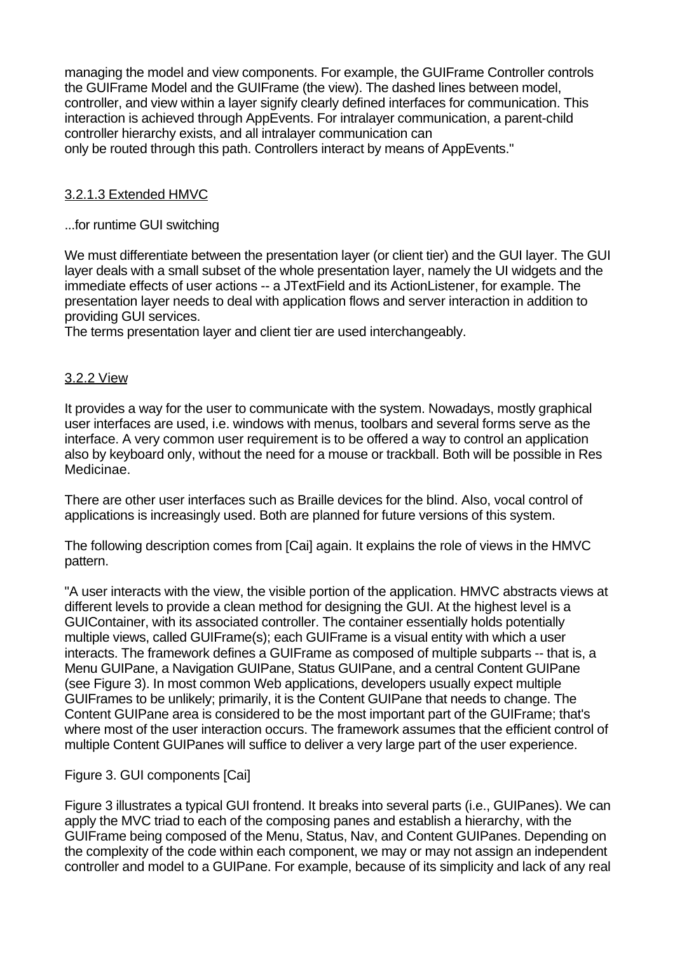managing the model and view components. For example, the GUIFrame Controller controls the GUIFrame Model and the GUIFrame (the view). The dashed lines between model, controller, and view within a layer signify clearly defined interfaces for communication. This interaction is achieved through AppEvents. For intralayer communication, a parent-child controller hierarchy exists, and all intralayer communication can only be routed through this path. Controllers interact by means of AppEvents."

# 3.2.1.3 Extended HMVC

## ...for runtime GUI switching

We must differentiate between the presentation layer (or client tier) and the GUI layer. The GUI layer deals with a small subset of the whole presentation layer, namely the UI widgets and the immediate effects of user actions -- a JTextField and its ActionListener, for example. The presentation layer needs to deal with application flows and server interaction in addition to providing GUI services.

The terms presentation layer and client tier are used interchangeably.

## 3.2.2 View

It provides a way for the user to communicate with the system. Nowadays, mostly graphical user interfaces are used, i.e. windows with menus, toolbars and several forms serve as the interface. A very common user requirement is to be offered a way to control an application also by keyboard only, without the need for a mouse or trackball. Both will be possible in Res Medicinae.

There are other user interfaces such as Braille devices for the blind. Also, vocal control of applications is increasingly used. Both are planned for future versions of this system.

The following description comes from [Cai] again. It explains the role of views in the HMVC pattern.

"A user interacts with the view, the visible portion of the application. HMVC abstracts views at different levels to provide a clean method for designing the GUI. At the highest level is a GUIContainer, with its associated controller. The container essentially holds potentially multiple views, called GUIFrame(s); each GUIFrame is a visual entity with which a user interacts. The framework defines a GUIFrame as composed of multiple subparts -- that is, a Menu GUIPane, a Navigation GUIPane, Status GUIPane, and a central Content GUIPane (see Figure 3). In most common Web applications, developers usually expect multiple GUIFrames to be unlikely; primarily, it is the Content GUIPane that needs to change. The Content GUIPane area is considered to be the most important part of the GUIFrame; that's where most of the user interaction occurs. The framework assumes that the efficient control of multiple Content GUIPanes will suffice to deliver a very large part of the user experience.

# Figure 3. GUI components [Cai]

Figure 3 illustrates a typical GUI frontend. It breaks into several parts (i.e., GUIPanes). We can apply the MVC triad to each of the composing panes and establish a hierarchy, with the GUIFrame being composed of the Menu, Status, Nav, and Content GUIPanes. Depending on the complexity of the code within each component, we may or may not assign an independent controller and model to a GUIPane. For example, because of its simplicity and lack of any real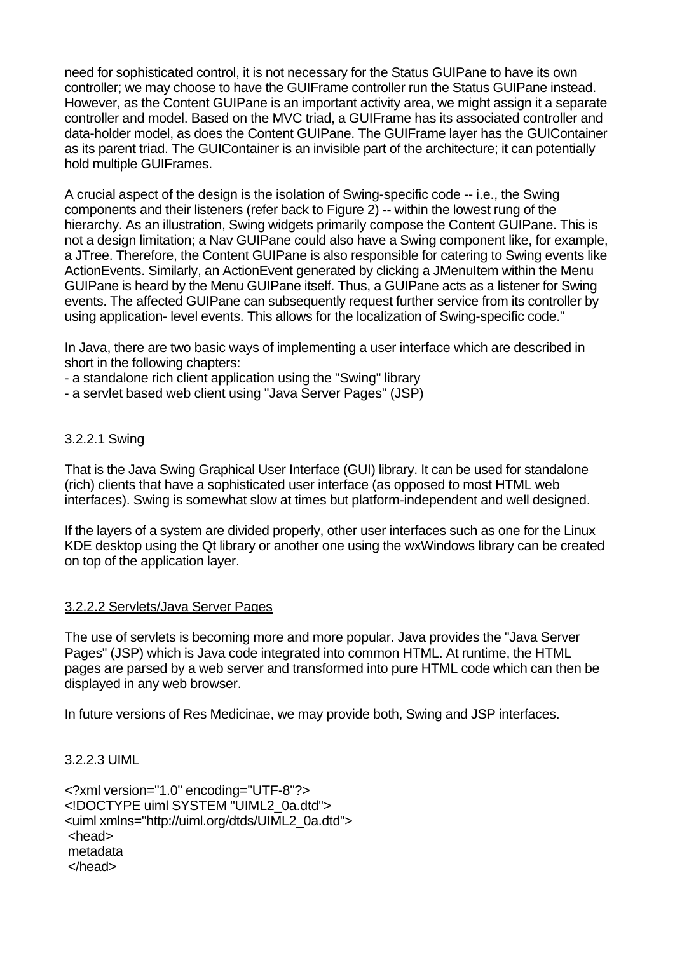need for sophisticated control, it is not necessary for the Status GUIPane to have its own controller; we may choose to have the GUIFrame controller run the Status GUIPane instead. However, as the Content GUIPane is an important activity area, we might assign it a separate controller and model. Based on the MVC triad, a GUIFrame has its associated controller and data-holder model, as does the Content GUIPane. The GUIFrame layer has the GUIContainer as its parent triad. The GUIContainer is an invisible part of the architecture; it can potentially hold multiple GUIFrames.

A crucial aspect of the design is the isolation of Swing-specific code -- i.e., the Swing components and their listeners (refer back to Figure 2) -- within the lowest rung of the hierarchy. As an illustration, Swing widgets primarily compose the Content GUIPane. This is not a design limitation; a Nav GUIPane could also have a Swing component like, for example, a JTree. Therefore, the Content GUIPane is also responsible for catering to Swing events like ActionEvents. Similarly, an ActionEvent generated by clicking a JMenuItem within the Menu GUIPane is heard by the Menu GUIPane itself. Thus, a GUIPane acts as a listener for Swing events. The affected GUIPane can subsequently request further service from its controller by using application- level events. This allows for the localization of Swing-specific code."

In Java, there are two basic ways of implementing a user interface which are described in short in the following chapters:

- a standalone rich client application using the "Swing" library

- a servlet based web client using "Java Server Pages" (JSP)

## 3.2.2.1 Swing

That is the Java Swing Graphical User Interface (GUI) library. It can be used for standalone (rich) clients that have a sophisticated user interface (as opposed to most HTML web interfaces). Swing is somewhat slow at times but platform-independent and well designed.

If the layers of a system are divided properly, other user interfaces such as one for the Linux KDE desktop using the Qt library or another one using the wxWindows library can be created on top of the application layer.

### 3.2.2.2 Servlets/Java Server Pages

The use of servlets is becoming more and more popular. Java provides the "Java Server Pages" (JSP) which is Java code integrated into common HTML. At runtime, the HTML pages are parsed by a web server and transformed into pure HTML code which can then be displayed in any web browser.

In future versions of Res Medicinae, we may provide both, Swing and JSP interfaces.

### 3.2.2.3 UIML

<?xml version="1.0" encoding="UTF-8"?> <!DOCTYPE uiml SYSTEM "UIML2\_0a.dtd"> <uiml xmlns="http://uiml.org/dtds/UIML2\_0a.dtd"> <head> metadata </head>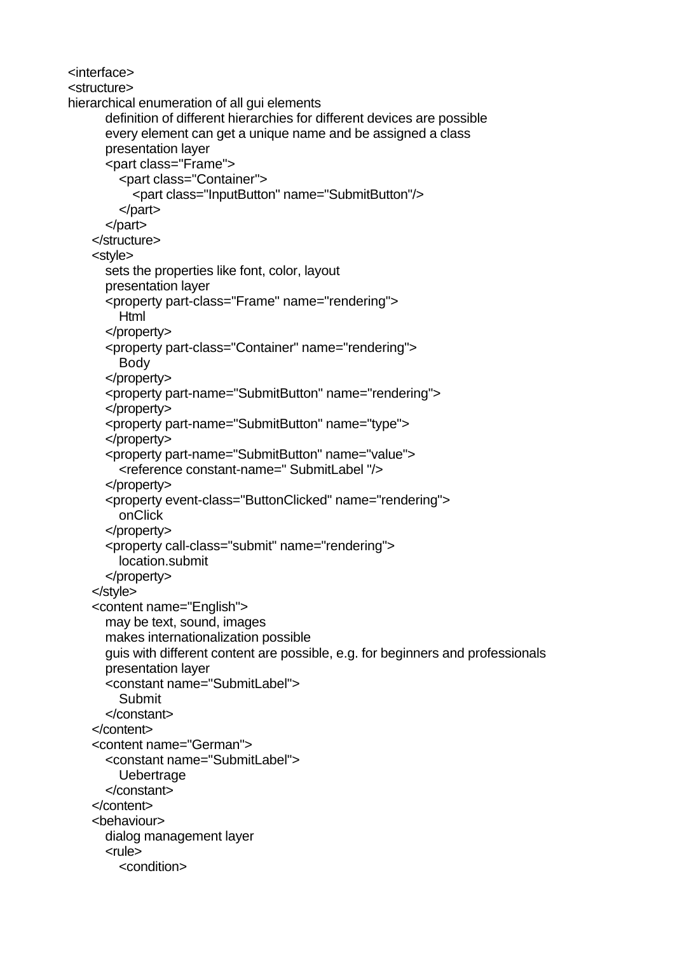<interface> <structure> hierarchical enumeration of all gui elements definition of different hierarchies for different devices are possible every element can get a unique name and be assigned a class presentation layer <part class="Frame"> <part class="Container"> <part class="InputButton" name="SubmitButton"/> </part> </part> </structure> <style> sets the properties like font, color, layout presentation layer <property part-class="Frame" name="rendering"> Html </property> <property part-class="Container" name="rendering"> Body </property> <property part-name="SubmitButton" name="rendering"> </property> <property part-name="SubmitButton" name="type"> </property> <property part-name="SubmitButton" name="value"> <reference constant-name=" SubmitLabel "/> </property> <property event-class="ButtonClicked" name="rendering"> onClick </property> <property call-class="submit" name="rendering"> location.submit </property> </style> <content name="English"> may be text, sound, images makes internationalization possible guis with different content are possible, e.g. for beginners and professionals presentation layer <constant name="SubmitLabel"> Submit </constant> </content> <content name="German"> <constant name="SubmitLabel"> **Uebertrage**  </constant> </content> <behaviour> dialog management layer <rule> <condition>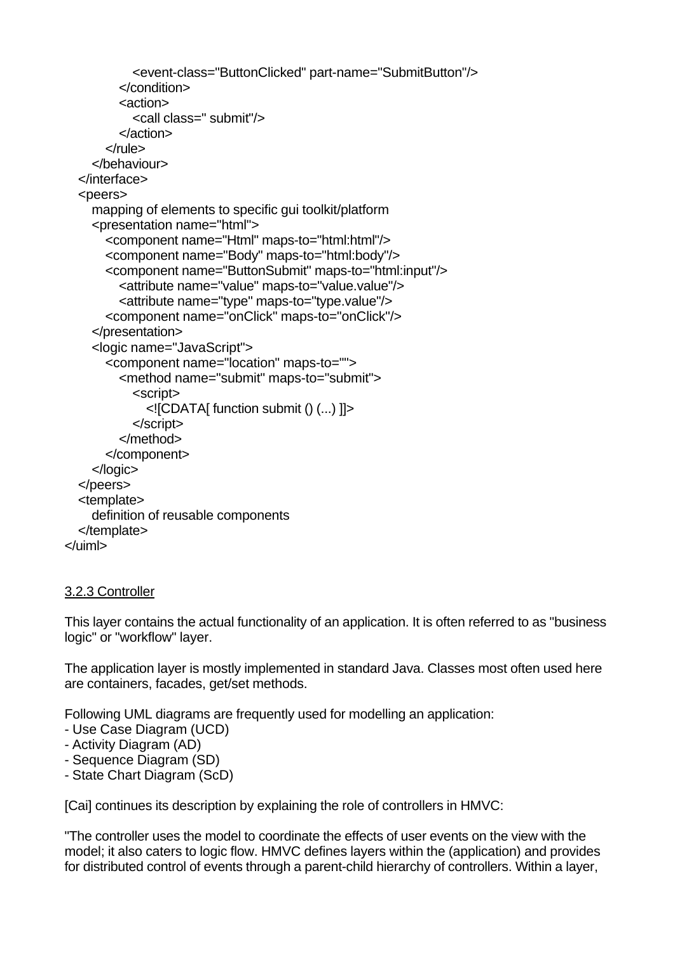```
 <event-class="ButtonClicked" part-name="SubmitButton"/>
          </condition>
          <action>
            <call class=" submit"/>
          </action>
       </rule>
     </behaviour>
   </interface>
   <peers>
     mapping of elements to specific gui toolkit/platform
     <presentation name="html">
       <component name="Html" maps-to="html:html"/>
       <component name="Body" maps-to="html:body"/>
       <component name="ButtonSubmit" maps-to="html:input"/>
          <attribute name="value" maps-to="value.value"/>
          <attribute name="type" maps-to="type.value"/>
       <component name="onClick" maps-to="onClick"/>
     </presentation>
     <logic name="JavaScript">
       <component name="location" maps-to="">
          <method name="submit" maps-to="submit">
            <script>
              <![CDATA[ function submit () (...) ]]>
            </script>
          </method>
       </component>
     </logic>
   </peers>
   <template>
     definition of reusable components
   </template>
</uiml>
```
# 3.2.3 Controller

This layer contains the actual functionality of an application. It is often referred to as "business logic" or "workflow" layer.

The application layer is mostly implemented in standard Java. Classes most often used here are containers, facades, get/set methods.

Following UML diagrams are frequently used for modelling an application:

- Use Case Diagram (UCD)
- Activity Diagram (AD)
- Sequence Diagram (SD)
- State Chart Diagram (ScD)

[Cai] continues its description by explaining the role of controllers in HMVC:

"The controller uses the model to coordinate the effects of user events on the view with the model; it also caters to logic flow. HMVC defines layers within the (application) and provides for distributed control of events through a parent-child hierarchy of controllers. Within a layer,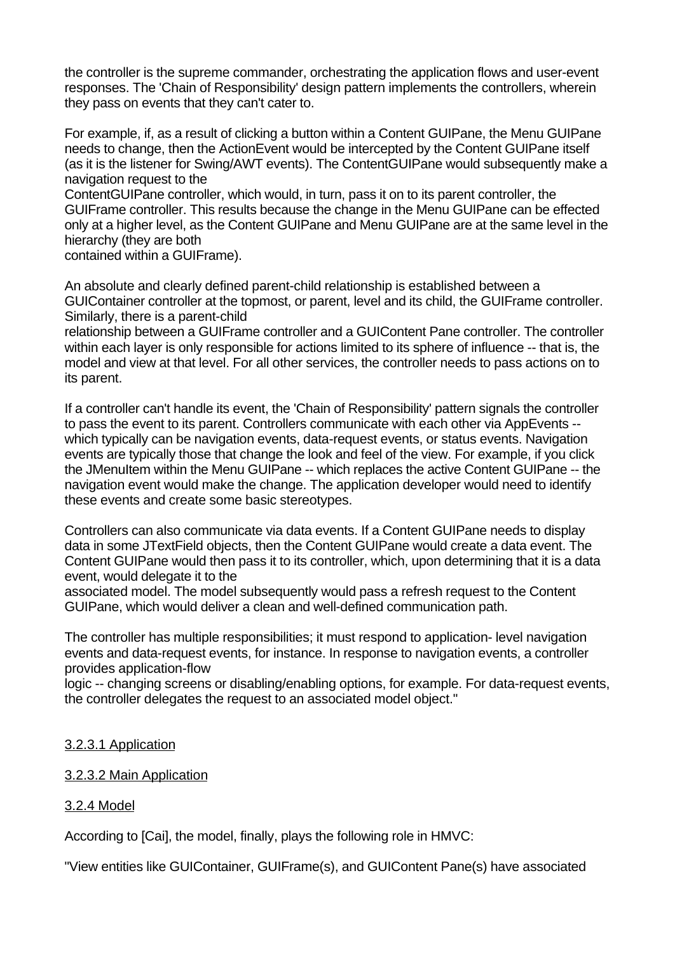the controller is the supreme commander, orchestrating the application flows and user-event responses. The 'Chain of Responsibility' design pattern implements the controllers, wherein they pass on events that they can't cater to.

For example, if, as a result of clicking a button within a Content GUIPane, the Menu GUIPane needs to change, then the ActionEvent would be intercepted by the Content GUIPane itself (as it is the listener for Swing/AWT events). The ContentGUIPane would subsequently make a navigation request to the

ContentGUIPane controller, which would, in turn, pass it on to its parent controller, the GUIFrame controller. This results because the change in the Menu GUIPane can be effected only at a higher level, as the Content GUIPane and Menu GUIPane are at the same level in the hierarchy (they are both

contained within a GUIFrame).

An absolute and clearly defined parent-child relationship is established between a GUIContainer controller at the topmost, or parent, level and its child, the GUIFrame controller. Similarly, there is a parent-child

relationship between a GUIFrame controller and a GUIContent Pane controller. The controller within each layer is only responsible for actions limited to its sphere of influence -- that is, the model and view at that level. For all other services, the controller needs to pass actions on to its parent.

If a controller can't handle its event, the 'Chain of Responsibility' pattern signals the controller to pass the event to its parent. Controllers communicate with each other via AppEvents - which typically can be navigation events, data-request events, or status events. Navigation events are typically those that change the look and feel of the view. For example, if you click the JMenuItem within the Menu GUIPane -- which replaces the active Content GUIPane -- the navigation event would make the change. The application developer would need to identify these events and create some basic stereotypes.

Controllers can also communicate via data events. If a Content GUIPane needs to display data in some JTextField objects, then the Content GUIPane would create a data event. The Content GUIPane would then pass it to its controller, which, upon determining that it is a data event, would delegate it to the

associated model. The model subsequently would pass a refresh request to the Content GUIPane, which would deliver a clean and well-defined communication path.

The controller has multiple responsibilities; it must respond to application- level navigation events and data-request events, for instance. In response to navigation events, a controller provides application-flow

logic -- changing screens or disabling/enabling options, for example. For data-request events, the controller delegates the request to an associated model object."

# 3.2.3.1 Application

### 3.2.3.2 Main Application

# 3.2.4 Model

According to [Cai], the model, finally, plays the following role in HMVC:

"View entities like GUIContainer, GUIFrame(s), and GUIContent Pane(s) have associated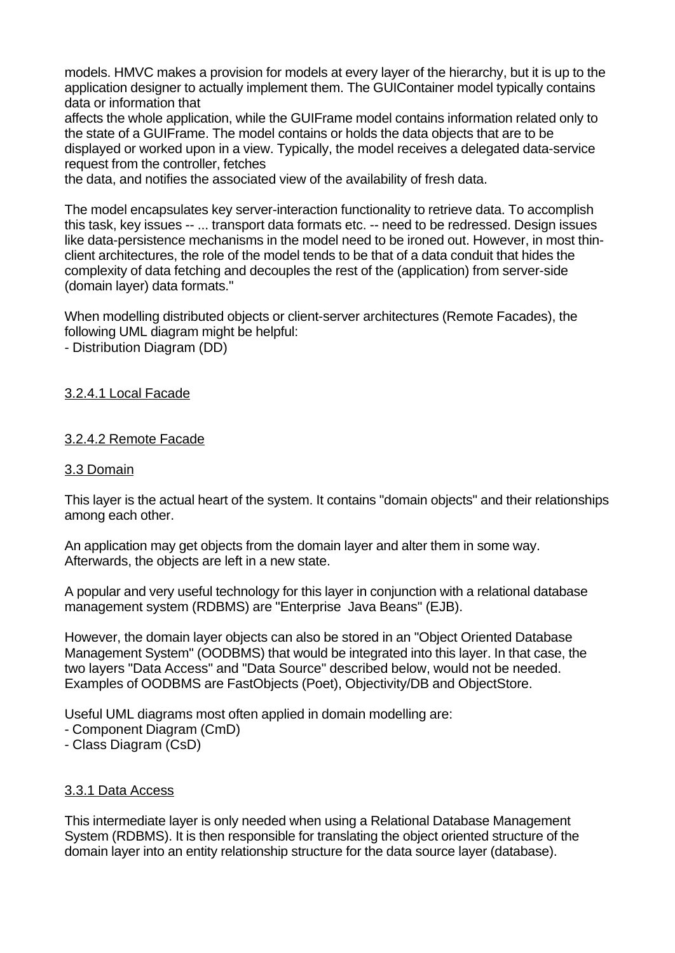models. HMVC makes a provision for models at every layer of the hierarchy, but it is up to the application designer to actually implement them. The GUIContainer model typically contains data or information that

affects the whole application, while the GUIFrame model contains information related only to the state of a GUIFrame. The model contains or holds the data objects that are to be displayed or worked upon in a view. Typically, the model receives a delegated data-service request from the controller, fetches

the data, and notifies the associated view of the availability of fresh data.

The model encapsulates key server-interaction functionality to retrieve data. To accomplish this task, key issues -- ... transport data formats etc. -- need to be redressed. Design issues like data-persistence mechanisms in the model need to be ironed out. However, in most thinclient architectures, the role of the model tends to be that of a data conduit that hides the complexity of data fetching and decouples the rest of the (application) from server-side (domain layer) data formats."

When modelling distributed objects or client-server architectures (Remote Facades), the following UML diagram might be helpful:

- Distribution Diagram (DD)

# 3.2.4.1 Local Facade

## 3.2.4.2 Remote Facade

### 3.3 Domain

This layer is the actual heart of the system. It contains "domain objects" and their relationships among each other.

An application may get objects from the domain layer and alter them in some way. Afterwards, the objects are left in a new state.

A popular and very useful technology for this layer in conjunction with a relational database management system (RDBMS) are "Enterprise Java Beans" (EJB).

However, the domain layer objects can also be stored in an "Object Oriented Database Management System" (OODBMS) that would be integrated into this layer. In that case, the two layers "Data Access" and "Data Source" described below, would not be needed. Examples of OODBMS are FastObjects (Poet), Objectivity/DB and ObjectStore.

Useful UML diagrams most often applied in domain modelling are:

- Component Diagram (CmD)
- Class Diagram (CsD)

# 3.3.1 Data Access

This intermediate layer is only needed when using a Relational Database Management System (RDBMS). It is then responsible for translating the object oriented structure of the domain layer into an entity relationship structure for the data source layer (database).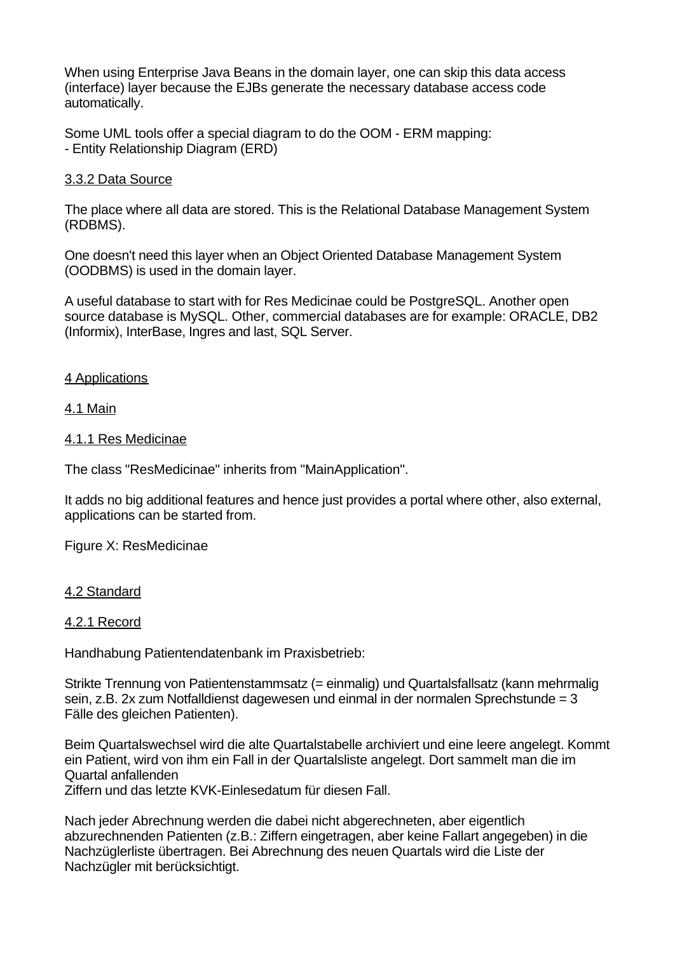When using Enterprise Java Beans in the domain layer, one can skip this data access (interface) layer because the EJBs generate the necessary database access code automatically.

Some UML tools offer a special diagram to do the OOM - ERM mapping: - Entity Relationship Diagram (ERD)

### 3.3.2 Data Source

The place where all data are stored. This is the Relational Database Management System (RDBMS).

One doesn't need this layer when an Object Oriented Database Management System (OODBMS) is used in the domain layer.

A useful database to start with for Res Medicinae could be PostgreSQL. Another open source database is MySQL. Other, commercial databases are for example: ORACLE, DB2 (Informix), InterBase, Ingres and last, SQL Server.

## 4 Applications

### 4.1 Main

### 4.1.1 Res Medicinae

The class "ResMedicinae" inherits from "MainApplication".

It adds no big additional features and hence just provides a portal where other, also external, applications can be started from.

Figure X: ResMedicinae

## 4.2 Standard

### 4.2.1 Record

Handhabung Patientendatenbank im Praxisbetrieb:

Strikte Trennung von Patientenstammsatz (= einmalig) und Quartalsfallsatz (kann mehrmalig sein, z.B. 2x zum Notfalldienst dagewesen und einmal in der normalen Sprechstunde = 3 Fälle des gleichen Patienten).

Beim Quartalswechsel wird die alte Quartalstabelle archiviert und eine leere angelegt. Kommt ein Patient, wird von ihm ein Fall in der Quartalsliste angelegt. Dort sammelt man die im Quartal anfallenden

Ziffern und das letzte KVK-Einlesedatum für diesen Fall.

Nach jeder Abrechnung werden die dabei nicht abgerechneten, aber eigentlich abzurechnenden Patienten (z.B.: Ziffern eingetragen, aber keine Fallart angegeben) in die Nachzüglerliste übertragen. Bei Abrechnung des neuen Quartals wird die Liste der Nachzügler mit berücksichtigt.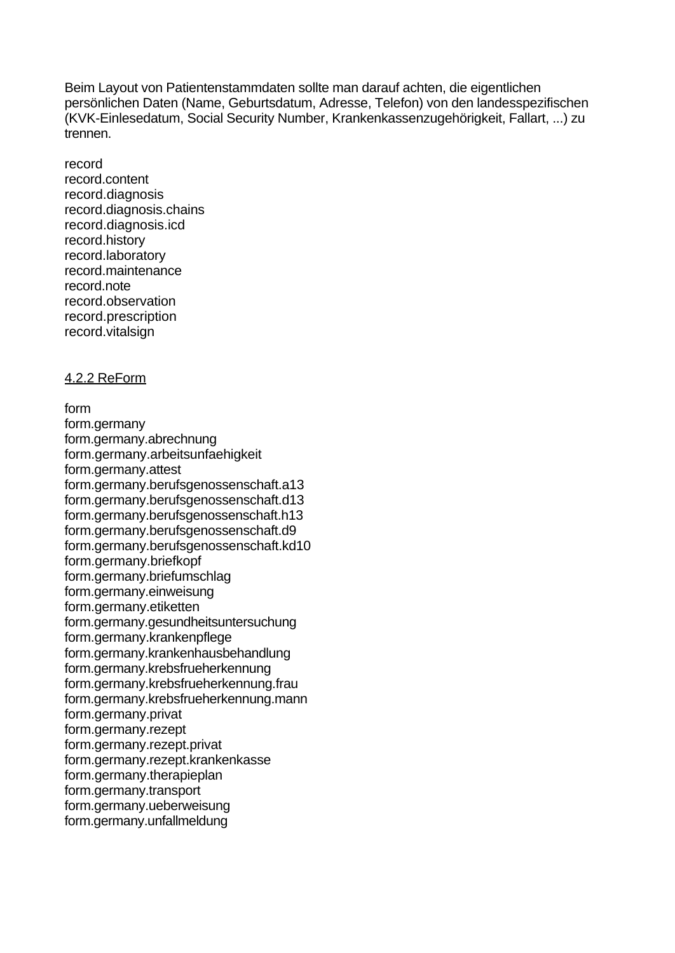Beim Layout von Patientenstammdaten sollte man darauf achten, die eigentlichen persönlichen Daten (Name, Geburtsdatum, Adresse, Telefon) von den landesspezifischen (KVK-Einlesedatum, Social Security Number, Krankenkassenzugehörigkeit, Fallart, ...) zu trennen.

record record.content record.diagnosis record.diagnosis.chains record.diagnosis.icd record.history record.laboratory record.maintenance record.note record.observation record.prescription record.vitalsign

## 4.2.2 ReForm

form form.germany form.germany.abrechnung form.germany.arbeitsunfaehigkeit form.germany.attest form.germany.berufsgenossenschaft.a13 form.germany.berufsgenossenschaft.d13 form.germany.berufsgenossenschaft.h13 form.germany.berufsgenossenschaft.d9 form.germany.berufsgenossenschaft.kd10 form.germany.briefkopf form.germany.briefumschlag form.germany.einweisung form.germany.etiketten form.germany.gesundheitsuntersuchung form.germany.krankenpflege form.germany.krankenhausbehandlung form.germany.krebsfrueherkennung form.germany.krebsfrueherkennung.frau form.germany.krebsfrueherkennung.mann form.germany.privat form.germany.rezept form.germany.rezept.privat form.germany.rezept.krankenkasse form.germany.therapieplan form.germany.transport form.germany.ueberweisung form.germany.unfallmeldung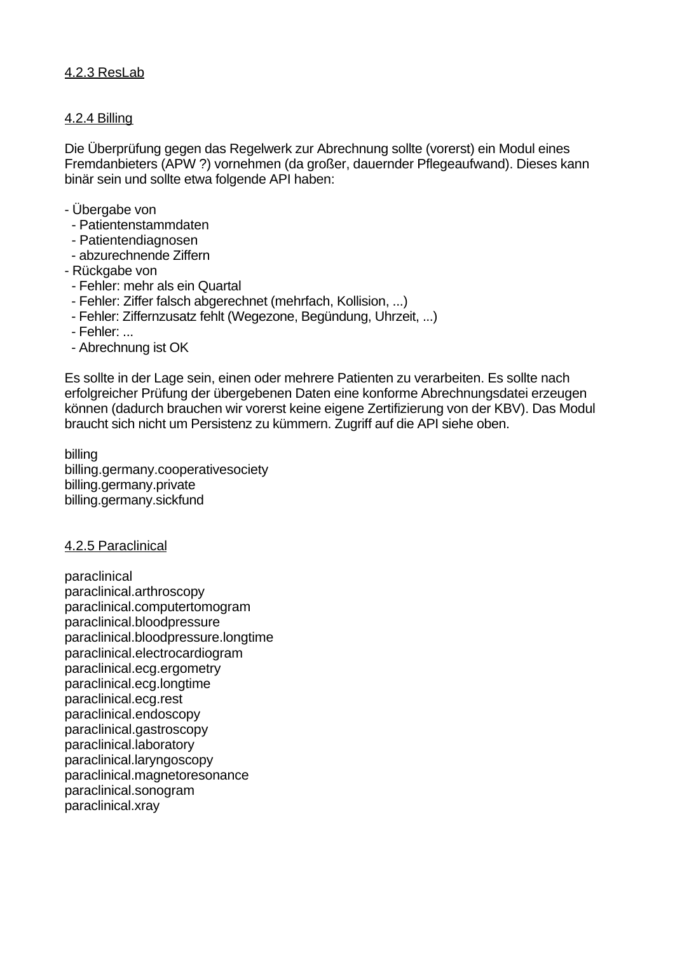# 4.2.3 ResLab

## 4.2.4 Billing

Die Überprüfung gegen das Regelwerk zur Abrechnung sollte (vorerst) ein Modul eines Fremdanbieters (APW ?) vornehmen (da großer, dauernder Pflegeaufwand). Dieses kann binär sein und sollte etwa folgende API haben:

- Übergabe von
- Patientenstammdaten
- Patientendiagnosen
- abzurechnende Ziffern
- Rückgabe von
- Fehler: mehr als ein Quartal
- Fehler: Ziffer falsch abgerechnet (mehrfach, Kollision, ...)
- Fehler: Ziffernzusatz fehlt (Wegezone, Begündung, Uhrzeit, ...)
- Fehler: ...
- Abrechnung ist OK

Es sollte in der Lage sein, einen oder mehrere Patienten zu verarbeiten. Es sollte nach erfolgreicher Prüfung der übergebenen Daten eine konforme Abrechnungsdatei erzeugen können (dadurch brauchen wir vorerst keine eigene Zertifizierung von der KBV). Das Modul braucht sich nicht um Persistenz zu kümmern. Zugriff auf die API siehe oben.

billing billing.germany.cooperativesociety billing.germany.private billing.germany.sickfund

### 4.2.5 Paraclinical

paraclinical paraclinical.arthroscopy paraclinical.computertomogram paraclinical.bloodpressure paraclinical.bloodpressure.longtime paraclinical.electrocardiogram paraclinical.ecg.ergometry paraclinical.ecg.longtime paraclinical.ecg.rest paraclinical.endoscopy paraclinical.gastroscopy paraclinical.laboratory paraclinical.laryngoscopy paraclinical.magnetoresonance paraclinical.sonogram paraclinical.xray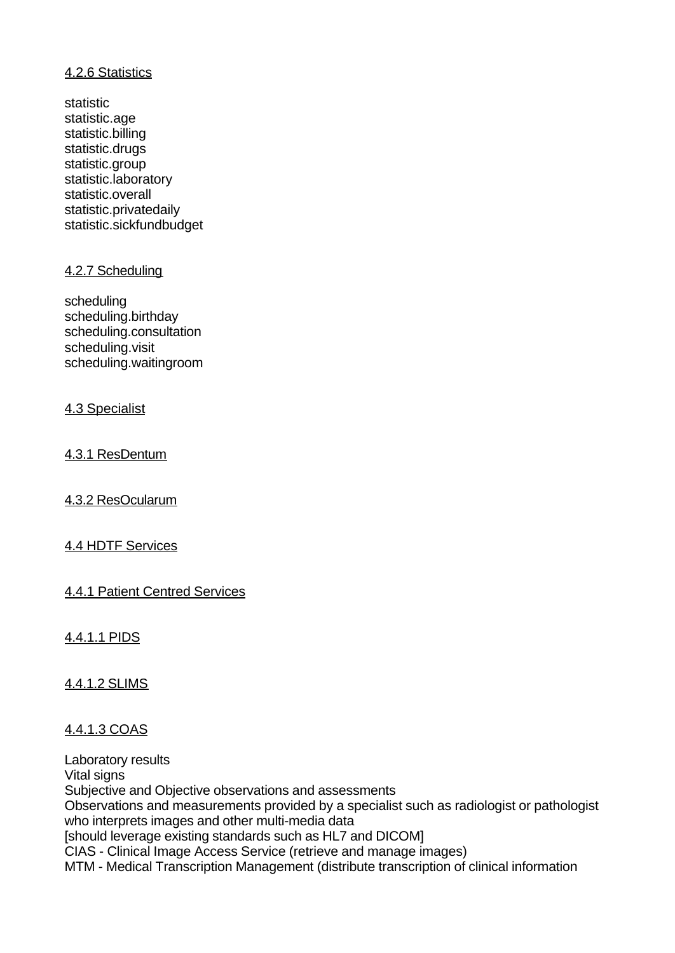# 4.2.6 Statistics

statistic statistic.age statistic.billing statistic.drugs statistic.group statistic.laboratory statistic.overall statistic.privatedaily statistic.sickfundbudget

# 4.2.7 Scheduling

scheduling scheduling.birthday scheduling.consultation scheduling.visit scheduling.waitingroom

# 4.3 Specialist

# 4.3.1 ResDentum

# 4.3.2 ResOcularum

# 4.4 HDTF Services

# 4.4.1 Patient Centred Services

# 4.4.1.1 PIDS

# 4.4.1.2 SLIMS

# 4.4.1.3 COAS

Laboratory results Vital signs Subjective and Objective observations and assessments Observations and measurements provided by a specialist such as radiologist or pathologist who interprets images and other multi-media data [should leverage existing standards such as HL7 and DICOM] CIAS - Clinical Image Access Service (retrieve and manage images) MTM - Medical Transcription Management (distribute transcription of clinical information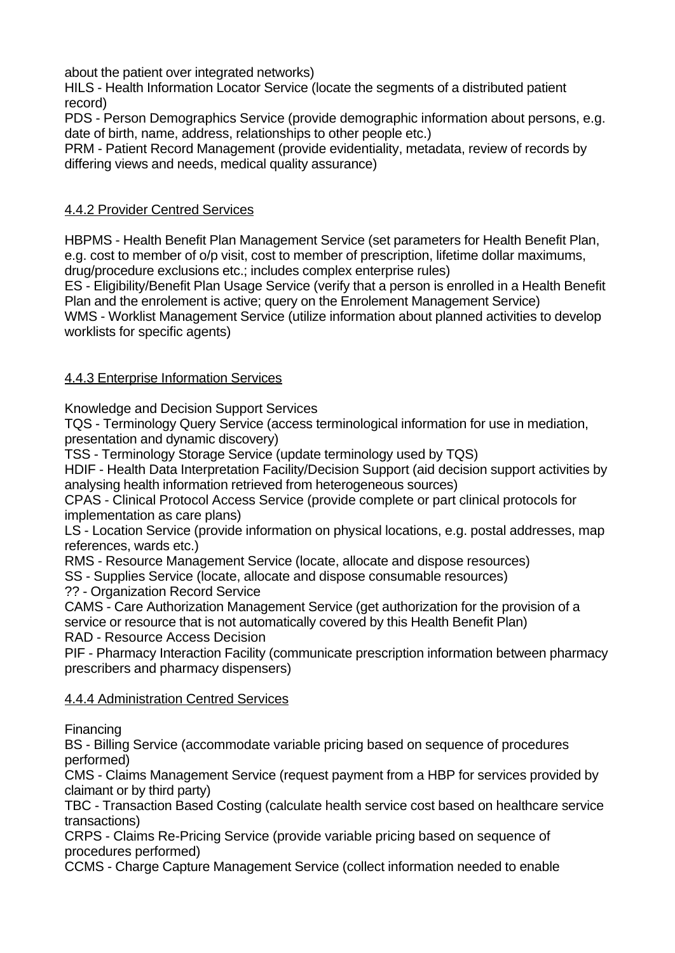about the patient over integrated networks)

HILS - Health Information Locator Service (locate the segments of a distributed patient record)

PDS - Person Demographics Service (provide demographic information about persons, e.g. date of birth, name, address, relationships to other people etc.)

PRM - Patient Record Management (provide evidentiality, metadata, review of records by differing views and needs, medical quality assurance)

# 4.4.2 Provider Centred Services

HBPMS - Health Benefit Plan Management Service (set parameters for Health Benefit Plan, e.g. cost to member of o/p visit, cost to member of prescription, lifetime dollar maximums, drug/procedure exclusions etc.; includes complex enterprise rules)

ES - Eligibility/Benefit Plan Usage Service (verify that a person is enrolled in a Health Benefit Plan and the enrolement is active; query on the Enrolement Management Service)

WMS - Worklist Management Service (utilize information about planned activities to develop worklists for specific agents)

# 4.4.3 Enterprise Information Services

Knowledge and Decision Support Services

TQS - Terminology Query Service (access terminological information for use in mediation, presentation and dynamic discovery)

TSS - Terminology Storage Service (update terminology used by TQS)

HDIF - Health Data Interpretation Facility/Decision Support (aid decision support activities by analysing health information retrieved from heterogeneous sources)

CPAS - Clinical Protocol Access Service (provide complete or part clinical protocols for implementation as care plans)

LS - Location Service (provide information on physical locations, e.g. postal addresses, map references, wards etc.)

RMS - Resource Management Service (locate, allocate and dispose resources)

SS - Supplies Service (locate, allocate and dispose consumable resources)

?? - Organization Record Service

CAMS - Care Authorization Management Service (get authorization for the provision of a service or resource that is not automatically covered by this Health Benefit Plan)

RAD - Resource Access Decision

PIF - Pharmacy Interaction Facility (communicate prescription information between pharmacy prescribers and pharmacy dispensers)

# 4.4.4 Administration Centred Services

Financing

BS - Billing Service (accommodate variable pricing based on sequence of procedures performed)

CMS - Claims Management Service (request payment from a HBP for services provided by claimant or by third party)

TBC - Transaction Based Costing (calculate health service cost based on healthcare service transactions)

CRPS - Claims Re-Pricing Service (provide variable pricing based on sequence of procedures performed)

CCMS - Charge Capture Management Service (collect information needed to enable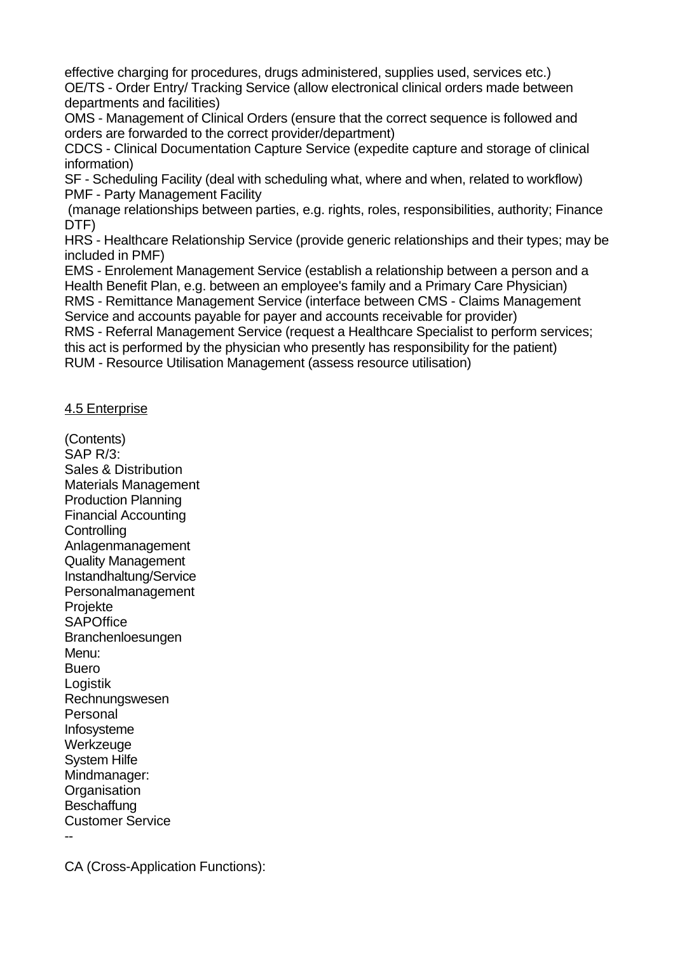effective charging for procedures, drugs administered, supplies used, services etc.) OE/TS - Order Entry/ Tracking Service (allow electronical clinical orders made between departments and facilities)

OMS - Management of Clinical Orders (ensure that the correct sequence is followed and orders are forwarded to the correct provider/department)

CDCS - Clinical Documentation Capture Service (expedite capture and storage of clinical information)

SF - Scheduling Facility (deal with scheduling what, where and when, related to workflow) PMF - Party Management Facility

 (manage relationships between parties, e.g. rights, roles, responsibilities, authority; Finance DTF)

HRS - Healthcare Relationship Service (provide generic relationships and their types; may be included in PMF)

EMS - Enrolement Management Service (establish a relationship between a person and a Health Benefit Plan, e.g. between an employee's family and a Primary Care Physician) RMS - Remittance Management Service (interface between CMS - Claims Management

Service and accounts payable for payer and accounts receivable for provider)

RMS - Referral Management Service (request a Healthcare Specialist to perform services; this act is performed by the physician who presently has responsibility for the patient) RUM - Resource Utilisation Management (assess resource utilisation)

## 4.5 Enterprise

(Contents) SAP R/3: Sales & Distribution Materials Management Production Planning Financial Accounting **Controlling** Anlagenmanagement Quality Management Instandhaltung/Service Personalmanagement Projekte **SAPOffice** Branchenloesungen Menu: Buero Logistik Rechnungswesen Personal Infosysteme Werkzeuge System Hilfe Mindmanager: **Organisation Beschaffung** Customer Service --

CA (Cross-Application Functions):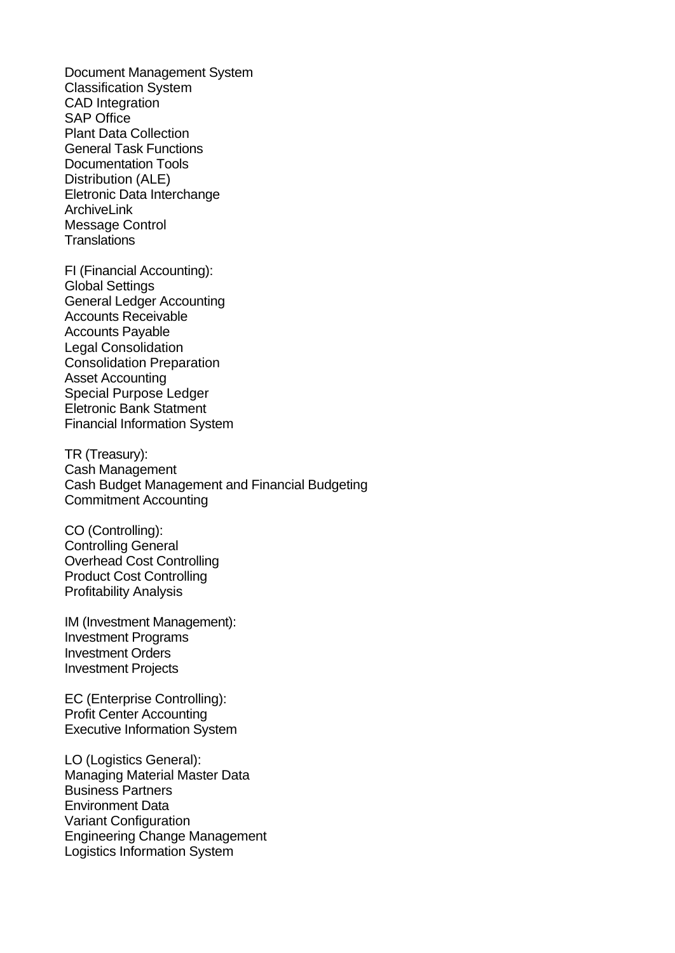Document Management System Classification System CAD Integration SAP Office Plant Data Collection General Task Functions Documentation Tools Distribution (ALE) Eletronic Data Interchange ArchiveLink Message Control **Translations** 

FI (Financial Accounting): Global Settings General Ledger Accounting Accounts Receivable Accounts Payable Legal Consolidation Consolidation Preparation Asset Accounting Special Purpose Ledger Eletronic Bank Statment Financial Information System

TR (Treasury): Cash Management Cash Budget Management and Financial Budgeting Commitment Accounting

CO (Controlling): Controlling General Overhead Cost Controlling Product Cost Controlling Profitability Analysis

IM (Investment Management): Investment Programs Investment Orders Investment Projects

EC (Enterprise Controlling): Profit Center Accounting Executive Information System

LO (Logistics General): Managing Material Master Data Business Partners Environment Data Variant Configuration Engineering Change Management Logistics Information System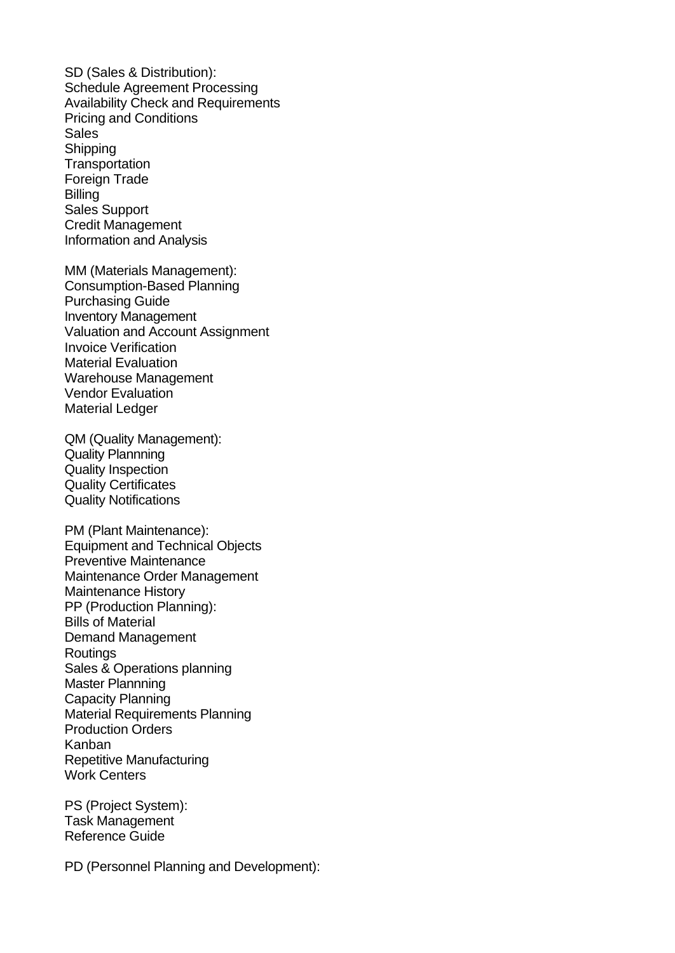SD (Sales & Distribution): Schedule Agreement Processing Availability Check and Requirements Pricing and Conditions Sales **Shipping Transportation** Foreign Trade **Billing** Sales Support Credit Management Information and Analysis

MM (Materials Management): Consumption-Based Planning Purchasing Guide Inventory Management Valuation and Account Assignment Invoice Verification Material Evaluation Warehouse Management Vendor Evaluation Material Ledger

QM (Quality Management): Quality Plannning Quality Inspection Quality Certificates Quality Notifications

PM (Plant Maintenance): Equipment and Technical Objects Preventive Maintenance Maintenance Order Management Maintenance History PP (Production Planning): Bills of Material Demand Management **Routings** Sales & Operations planning Master Plannning Capacity Planning Material Requirements Planning Production Orders Kanban Repetitive Manufacturing Work Centers

PS (Project System): Task Management Reference Guide

PD (Personnel Planning and Development):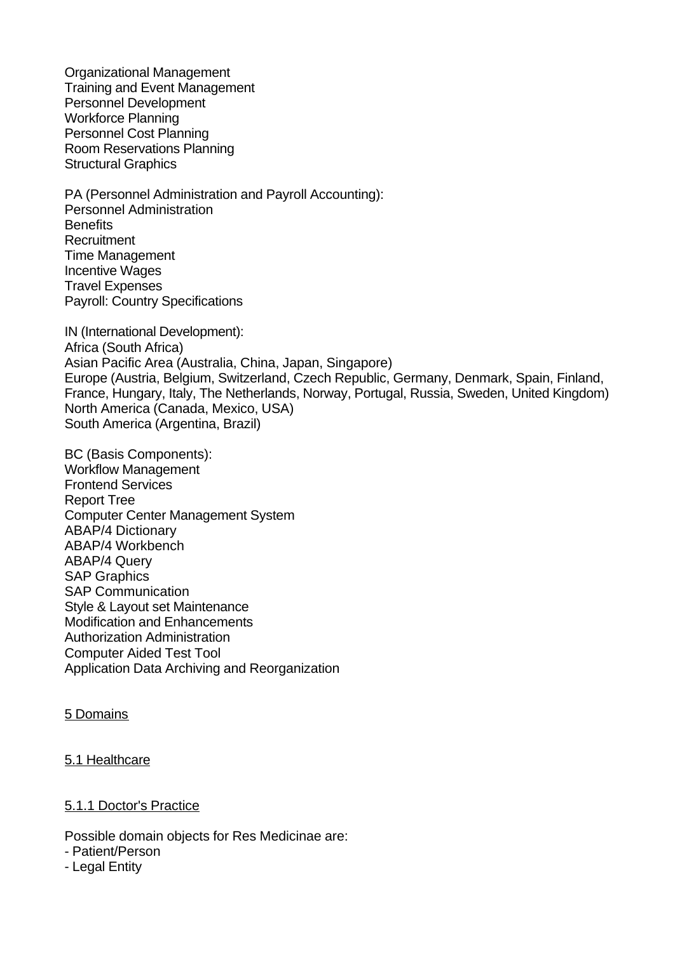Organizational Management Training and Event Management Personnel Development Workforce Planning Personnel Cost Planning Room Reservations Planning Structural Graphics

PA (Personnel Administration and Payroll Accounting): Personnel Administration **Benefits Recruitment** Time Management Incentive Wages Travel Expenses Payroll: Country Specifications

IN (International Development): Africa (South Africa) Asian Pacific Area (Australia, China, Japan, Singapore) Europe (Austria, Belgium, Switzerland, Czech Republic, Germany, Denmark, Spain, Finland, France, Hungary, Italy, The Netherlands, Norway, Portugal, Russia, Sweden, United Kingdom) North America (Canada, Mexico, USA) South America (Argentina, Brazil)

BC (Basis Components): Workflow Management Frontend Services Report Tree Computer Center Management System ABAP/4 Dictionary ABAP/4 Workbench ABAP/4 Query SAP Graphics SAP Communication Style & Layout set Maintenance Modification and Enhancements Authorization Administration Computer Aided Test Tool Application Data Archiving and Reorganization

### 5 Domains

### 5.1 Healthcare

### 5.1.1 Doctor's Practice

Possible domain objects for Res Medicinae are:

- Patient/Person
- Legal Entity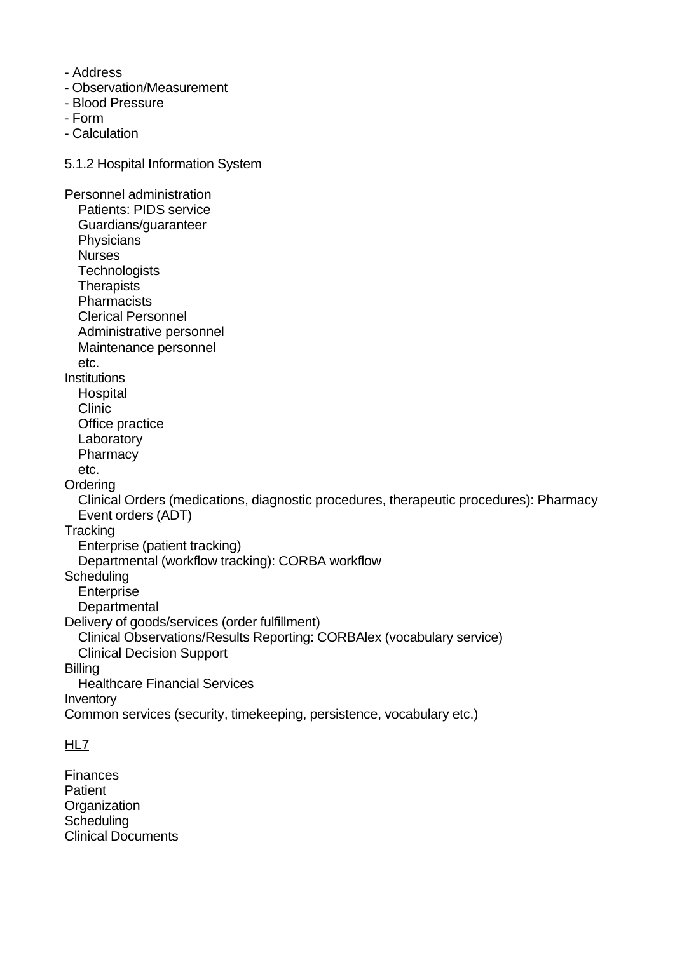- Address
- Observation/Measurement
- Blood Pressure
- Form
- Calculation

#### 5.1.2 Hospital Information System

Personnel administration Patients: PIDS service Guardians/guaranteer **Physicians**  Nurses **Technologists Therapists Pharmacists**  Clerical Personnel Administrative personnel Maintenance personnel etc. **Institutions Hospital**  Clinic Office practice Laboratory **Pharmacy**  etc. **Ordering**  Clinical Orders (medications, diagnostic procedures, therapeutic procedures): Pharmacy Event orders (ADT) **Tracking**  Enterprise (patient tracking) Departmental (workflow tracking): CORBA workflow **Scheduling Enterprise Departmental** Delivery of goods/services (order fulfillment) Clinical Observations/Results Reporting: CORBAlex (vocabulary service) Clinical Decision Support **Billing**  Healthcare Financial Services Inventory Common services (security, timekeeping, persistence, vocabulary etc.)

# HL<sub>7</sub>

**Finances Patient Organization Scheduling** Clinical Documents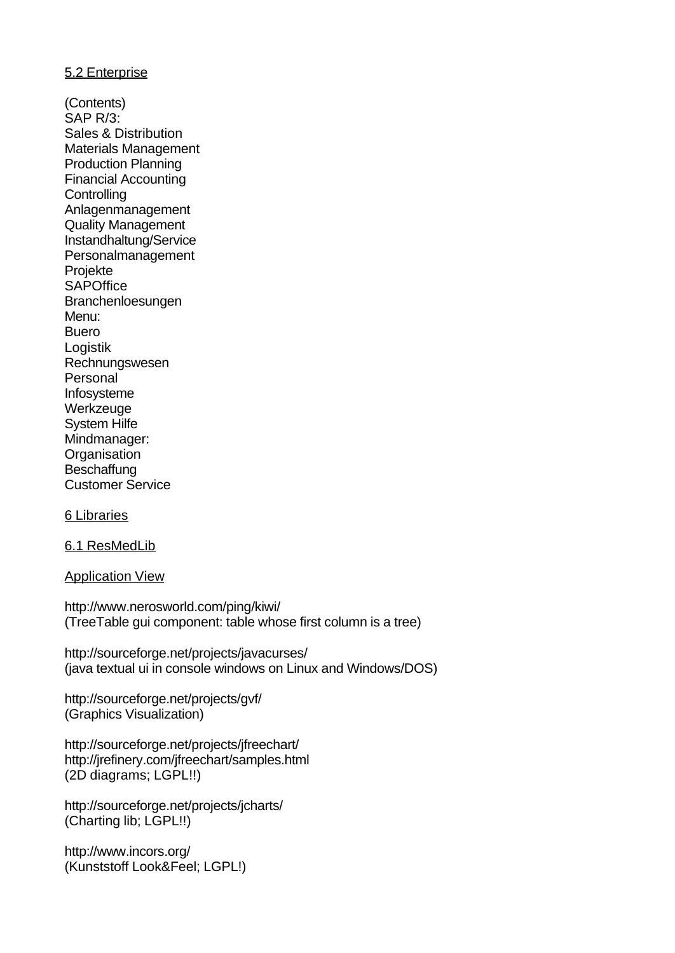## 5.2 Enterprise

(Contents) SAP R/3: Sales & Distribution Materials Management Production Planning Financial Accounting **Controlling** Anlagenmanagement Quality Management Instandhaltung/Service Personalmanagement Projekte **SAPOffice** Branchenloesungen Menu: Buero Logistik Rechnungswesen Personal Infosysteme Werkzeuge System Hilfe Mindmanager: **Organisation Beschaffung** Customer Service

### 6 Libraries

6.1 ResMedLib

Application View

http://www.nerosworld.com/ping/kiwi/ (TreeTable gui component: table whose first column is a tree)

http://sourceforge.net/projects/javacurses/ (java textual ui in console windows on Linux and Windows/DOS)

http://sourceforge.net/projects/gvf/ (Graphics Visualization)

http://sourceforge.net/projects/jfreechart/ http://jrefinery.com/jfreechart/samples.html (2D diagrams; LGPL!!)

http://sourceforge.net/projects/jcharts/ (Charting lib; LGPL!!)

http://www.incors.org/ (Kunststoff Look&Feel; LGPL!)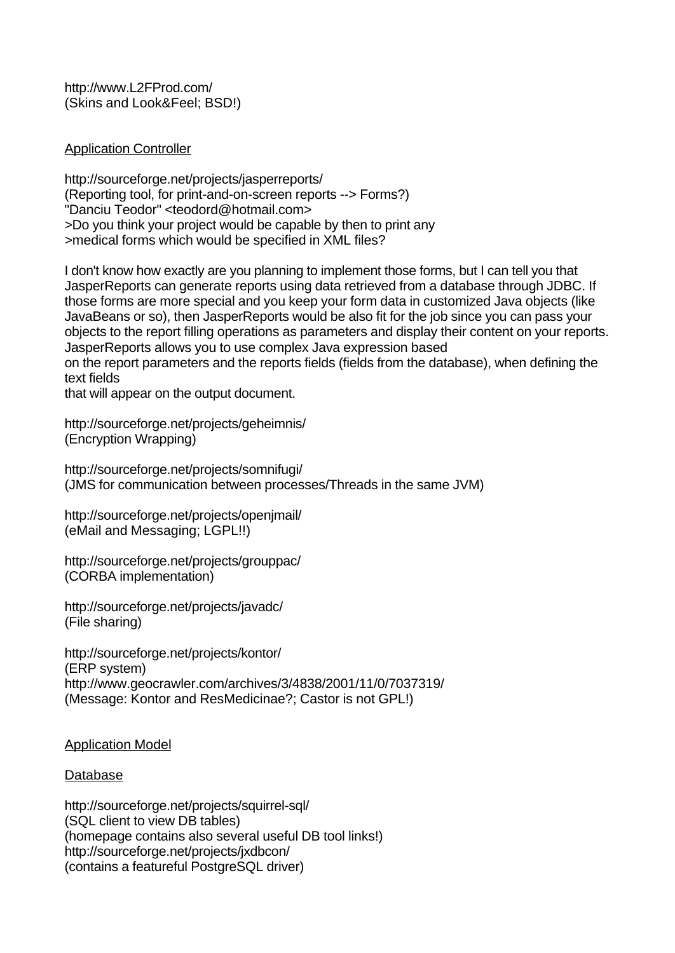http://www.L2FProd.com/ (Skins and Look&Feel; BSD!)

## Application Controller

http://sourceforge.net/projects/jasperreports/ (Reporting tool, for print-and-on-screen reports --> Forms?) "Danciu Teodor" <teodord@hotmail.com> >Do you think your project would be capable by then to print any >medical forms which would be specified in XML files?

I don't know how exactly are you planning to implement those forms, but I can tell you that JasperReports can generate reports using data retrieved from a database through JDBC. If those forms are more special and you keep your form data in customized Java objects (like JavaBeans or so), then JasperReports would be also fit for the job since you can pass your objects to the report filling operations as parameters and display their content on your reports. JasperReports allows you to use complex Java expression based on the report parameters and the reports fields (fields from the database), when defining the text fields

that will appear on the output document.

http://sourceforge.net/projects/geheimnis/ (Encryption Wrapping)

http://sourceforge.net/projects/somnifugi/ (JMS for communication between processes/Threads in the same JVM)

http://sourceforge.net/projects/openjmail/ (eMail and Messaging; LGPL!!)

http://sourceforge.net/projects/grouppac/ (CORBA implementation)

http://sourceforge.net/projects/javadc/ (File sharing)

http://sourceforge.net/projects/kontor/ (ERP system) http://www.geocrawler.com/archives/3/4838/2001/11/0/7037319/ (Message: Kontor and ResMedicinae?; Castor is not GPL!)

### Application Model

# Database

http://sourceforge.net/projects/squirrel-sql/ (SQL client to view DB tables) (homepage contains also several useful DB tool links!) http://sourceforge.net/projects/jxdbcon/ (contains a featureful PostgreSQL driver)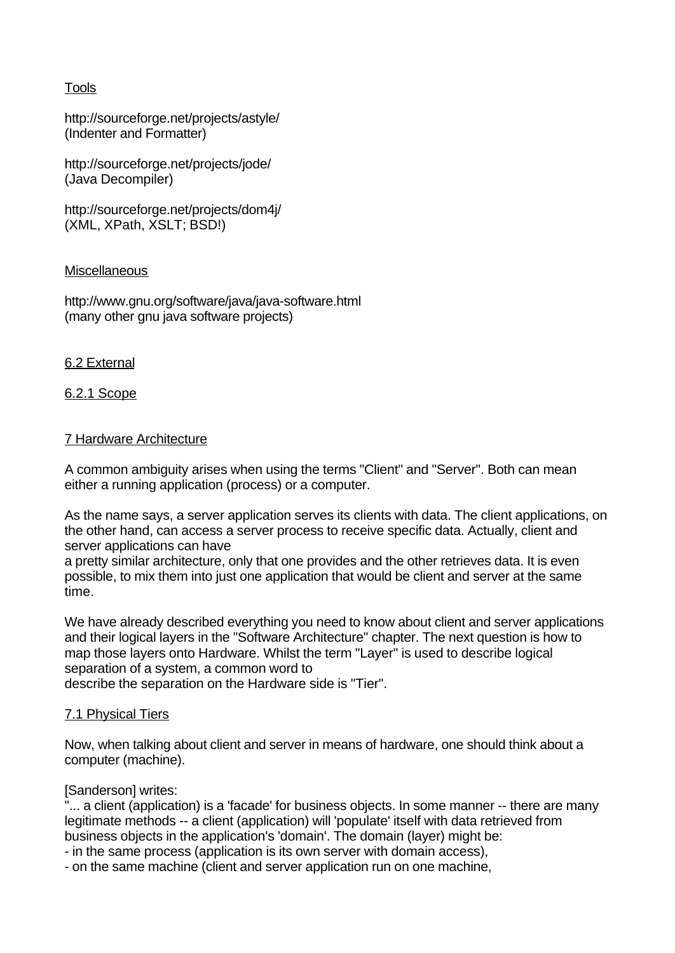# Tools

http://sourceforge.net/projects/astyle/ (Indenter and Formatter)

http://sourceforge.net/projects/jode/ (Java Decompiler)

http://sourceforge.net/projects/dom4j/ (XML, XPath, XSLT; BSD!)

## **Miscellaneous**

http://www.gnu.org/software/java/java-software.html (many other gnu java software projects)

## 6.2 External

## 6.2.1 Scope

### 7 Hardware Architecture

A common ambiguity arises when using the terms "Client" and "Server". Both can mean either a running application (process) or a computer.

As the name says, a server application serves its clients with data. The client applications, on the other hand, can access a server process to receive specific data. Actually, client and server applications can have

a pretty similar architecture, only that one provides and the other retrieves data. It is even possible, to mix them into just one application that would be client and server at the same time.

We have already described everything you need to know about client and server applications and their logical layers in the "Software Architecture" chapter. The next question is how to map those layers onto Hardware. Whilst the term "Layer" is used to describe logical separation of a system, a common word to describe the separation on the Hardware side is "Tier".

### 7.1 Physical Tiers

Now, when talking about client and server in means of hardware, one should think about a computer (machine).

### [Sanderson] writes:

"... a client (application) is a 'facade' for business objects. In some manner -- there are many legitimate methods -- a client (application) will 'populate' itself with data retrieved from business objects in the application's 'domain'. The domain (layer) might be:

- in the same process (application is its own server with domain access),

- on the same machine (client and server application run on one machine,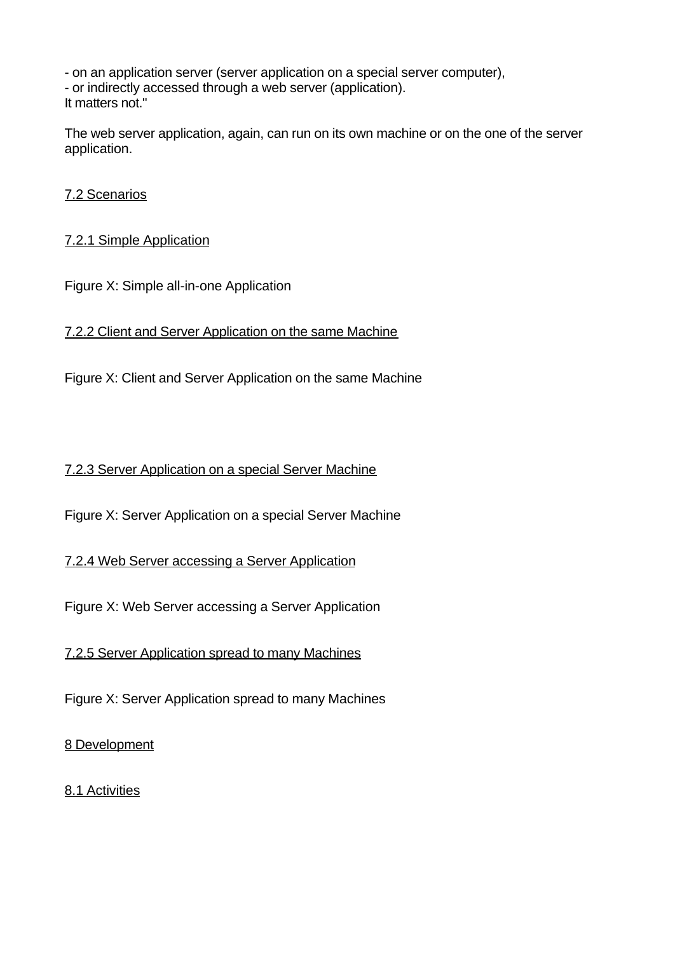- on an application server (server application on a special server computer), - or indirectly accessed through a web server (application). It matters not."

The web server application, again, can run on its own machine or on the one of the server application.

# 7.2 Scenarios

# 7.2.1 Simple Application

Figure X: Simple all-in-one Application

7.2.2 Client and Server Application on the same Machine

Figure X: Client and Server Application on the same Machine

# 7.2.3 Server Application on a special Server Machine

Figure X: Server Application on a special Server Machine

7.2.4 Web Server accessing a Server Application

Figure X: Web Server accessing a Server Application

7.2.5 Server Application spread to many Machines

Figure X: Server Application spread to many Machines

8 Development

8.1 Activities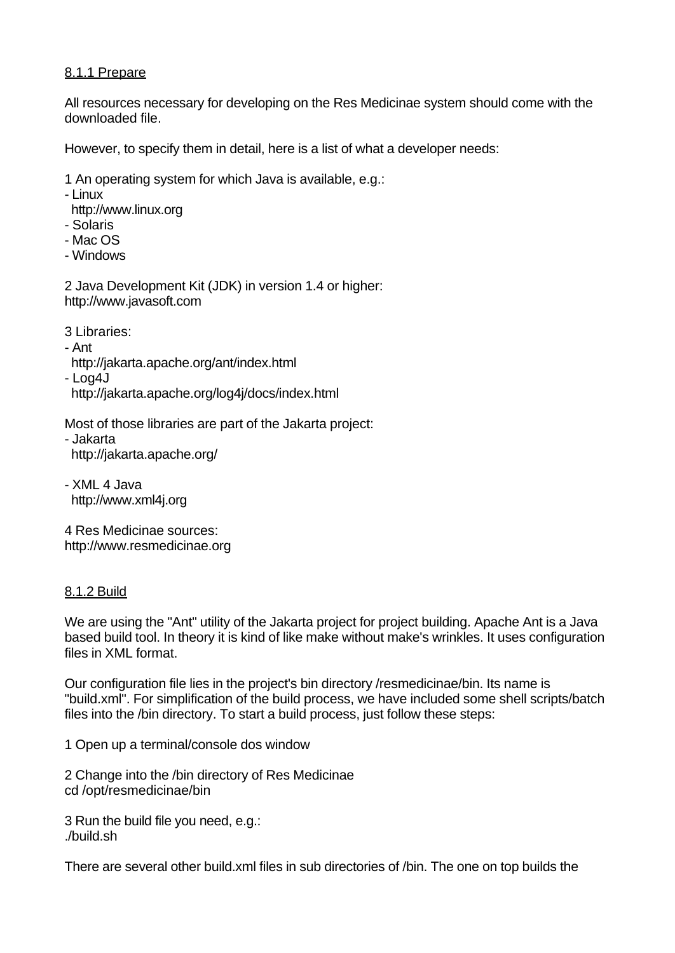# 8.1.1 Prepare

All resources necessary for developing on the Res Medicinae system should come with the downloaded file.

However, to specify them in detail, here is a list of what a developer needs:

- 1 An operating system for which Java is available, e.g.:
- Linux
- http://www.linux.org
- Solaris
- Mac OS
- Windows

2 Java Development Kit (JDK) in version 1.4 or higher: http://www.javasoft.com

3 Libraries:

- Ant
- http://jakarta.apache.org/ant/index.html

- Log4J

http://jakarta.apache.org/log4j/docs/index.html

Most of those libraries are part of the Jakarta project:

- Jakarta http://jakarta.apache.org/

- XML 4 Java http://www.xml4j.org

4 Res Medicinae sources: http://www.resmedicinae.org

# 8.1.2 Build

We are using the "Ant" utility of the Jakarta project for project building. Apache Ant is a Java based build tool. In theory it is kind of like make without make's wrinkles. It uses configuration files in XML format.

Our configuration file lies in the project's bin directory /resmedicinae/bin. Its name is "build.xml". For simplification of the build process, we have included some shell scripts/batch files into the /bin directory. To start a build process, just follow these steps:

1 Open up a terminal/console dos window

2 Change into the /bin directory of Res Medicinae cd /opt/resmedicinae/bin

3 Run the build file you need, e.g.: ./build.sh

There are several other build.xml files in sub directories of /bin. The one on top builds the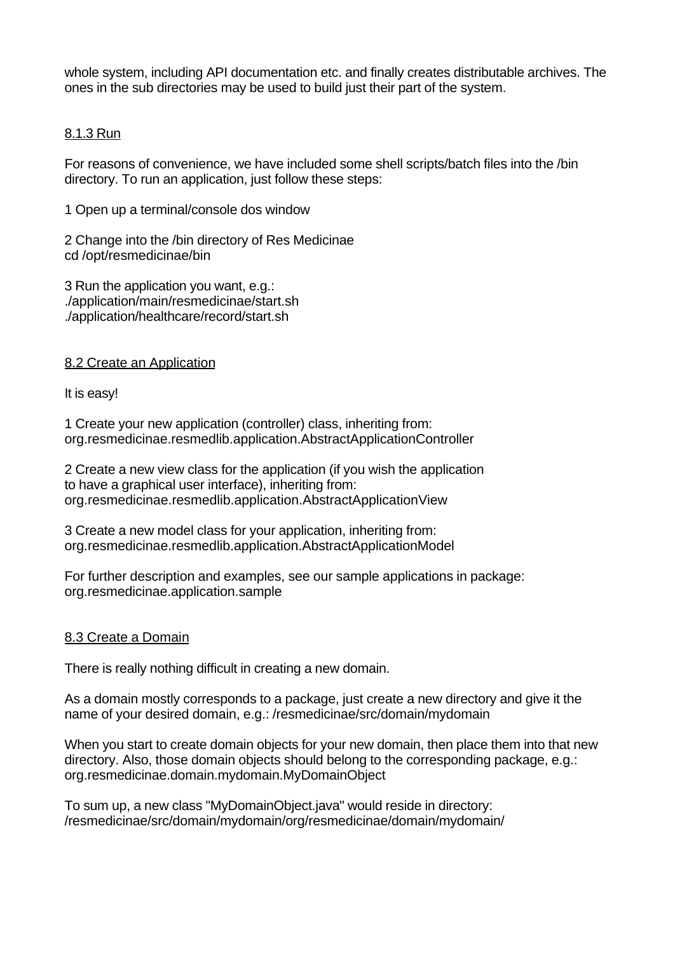whole system, including API documentation etc. and finally creates distributable archives. The ones in the sub directories may be used to build just their part of the system.

## 8.1.3 Run

For reasons of convenience, we have included some shell scripts/batch files into the /bin directory. To run an application, just follow these steps:

1 Open up a terminal/console dos window

2 Change into the /bin directory of Res Medicinae cd /opt/resmedicinae/bin

3 Run the application you want, e.g.: ./application/main/resmedicinae/start.sh ./application/healthcare/record/start.sh

8.2 Create an Application

It is easy!

1 Create your new application (controller) class, inheriting from: org.resmedicinae.resmedlib.application.AbstractApplicationController

2 Create a new view class for the application (if you wish the application to have a graphical user interface), inheriting from: org.resmedicinae.resmedlib.application.AbstractApplicationView

3 Create a new model class for your application, inheriting from: org.resmedicinae.resmedlib.application.AbstractApplicationModel

For further description and examples, see our sample applications in package: org.resmedicinae.application.sample

### 8.3 Create a Domain

There is really nothing difficult in creating a new domain.

As a domain mostly corresponds to a package, just create a new directory and give it the name of your desired domain, e.g.: /resmedicinae/src/domain/mydomain

When you start to create domain objects for your new domain, then place them into that new directory. Also, those domain objects should belong to the corresponding package, e.g.: org.resmedicinae.domain.mydomain.MyDomainObject

To sum up, a new class "MyDomainObject.java" would reside in directory: /resmedicinae/src/domain/mydomain/org/resmedicinae/domain/mydomain/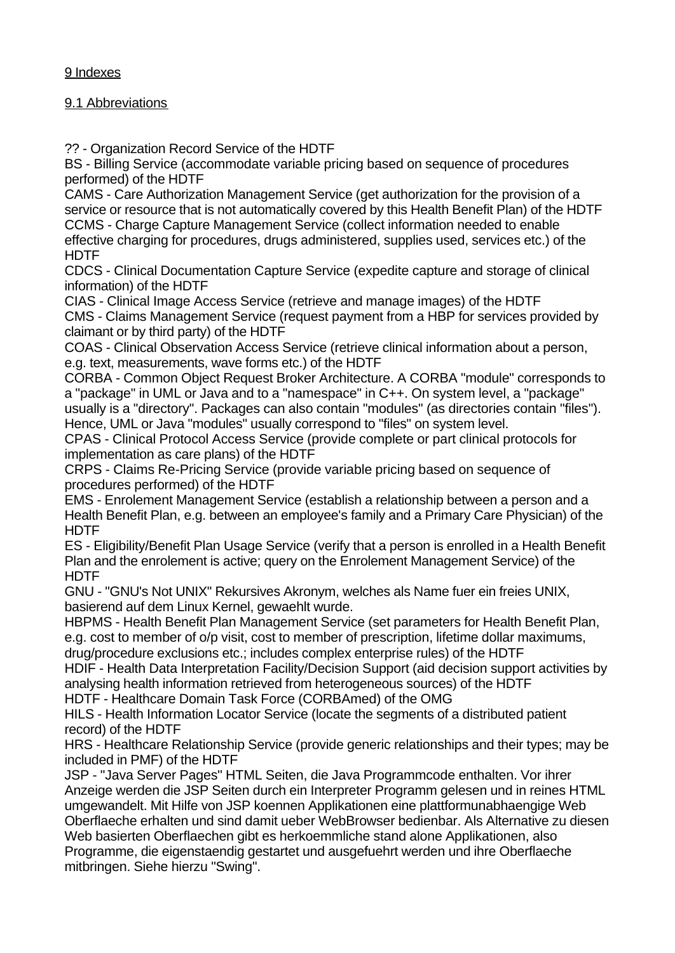# 9 Indexes

# 9.1 Abbreviations

?? - Organization Record Service of the HDTF

BS - Billing Service (accommodate variable pricing based on sequence of procedures performed) of the HDTF

CAMS - Care Authorization Management Service (get authorization for the provision of a service or resource that is not automatically covered by this Health Benefit Plan) of the HDTF CCMS - Charge Capture Management Service (collect information needed to enable effective charging for procedures, drugs administered, supplies used, services etc.) of the **HDTF** 

CDCS - Clinical Documentation Capture Service (expedite capture and storage of clinical information) of the HDTF

CIAS - Clinical Image Access Service (retrieve and manage images) of the HDTF CMS - Claims Management Service (request payment from a HBP for services provided by claimant or by third party) of the HDTF

COAS - Clinical Observation Access Service (retrieve clinical information about a person, e.g. text, measurements, wave forms etc.) of the HDTF

CORBA - Common Object Request Broker Architecture. A CORBA "module" corresponds to a "package" in UML or Java and to a "namespace" in C++. On system level, a "package" usually is a "directory". Packages can also contain "modules" (as directories contain "files"). Hence, UML or Java "modules" usually correspond to "files" on system level.

CPAS - Clinical Protocol Access Service (provide complete or part clinical protocols for implementation as care plans) of the HDTF

CRPS - Claims Re-Pricing Service (provide variable pricing based on sequence of procedures performed) of the HDTF

EMS - Enrolement Management Service (establish a relationship between a person and a Health Benefit Plan, e.g. between an employee's family and a Primary Care Physician) of the **HDTF** 

ES - Eligibility/Benefit Plan Usage Service (verify that a person is enrolled in a Health Benefit Plan and the enrolement is active; query on the Enrolement Management Service) of the HDTF

GNU - "GNU's Not UNIX" Rekursives Akronym, welches als Name fuer ein freies UNIX, basierend auf dem Linux Kernel, gewaehlt wurde.

HBPMS - Health Benefit Plan Management Service (set parameters for Health Benefit Plan, e.g. cost to member of o/p visit, cost to member of prescription, lifetime dollar maximums, drug/procedure exclusions etc.; includes complex enterprise rules) of the HDTF

HDIF - Health Data Interpretation Facility/Decision Support (aid decision support activities by analysing health information retrieved from heterogeneous sources) of the HDTF

HDTF - Healthcare Domain Task Force (CORBAmed) of the OMG

HILS - Health Information Locator Service (locate the segments of a distributed patient record) of the HDTF

HRS - Healthcare Relationship Service (provide generic relationships and their types; may be included in PMF) of the HDTF

JSP - "Java Server Pages" HTML Seiten, die Java Programmcode enthalten. Vor ihrer Anzeige werden die JSP Seiten durch ein Interpreter Programm gelesen und in reines HTML umgewandelt. Mit Hilfe von JSP koennen Applikationen eine plattformunabhaengige Web Oberflaeche erhalten und sind damit ueber WebBrowser bedienbar. Als Alternative zu diesen Web basierten Oberflaechen gibt es herkoemmliche stand alone Applikationen, also Programme, die eigenstaendig gestartet und ausgefuehrt werden und ihre Oberflaeche mitbringen. Siehe hierzu "Swing".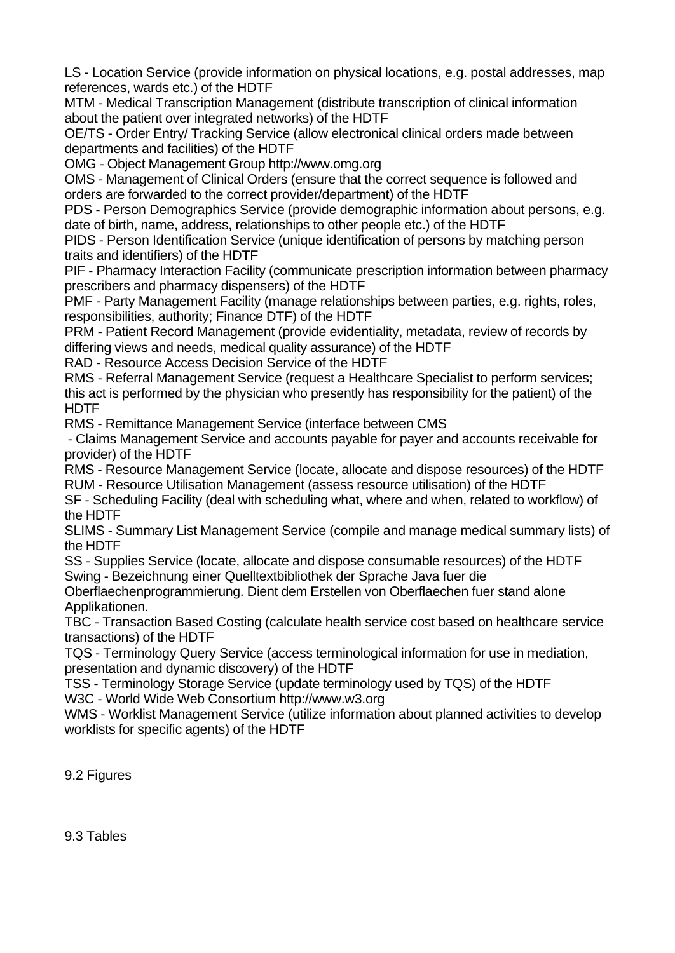LS - Location Service (provide information on physical locations, e.g. postal addresses, map references, wards etc.) of the HDTF

MTM - Medical Transcription Management (distribute transcription of clinical information about the patient over integrated networks) of the HDTF

OE/TS - Order Entry/ Tracking Service (allow electronical clinical orders made between departments and facilities) of the HDTF

OMG - Object Management Group http://www.omg.org

OMS - Management of Clinical Orders (ensure that the correct sequence is followed and orders are forwarded to the correct provider/department) of the HDTF

PDS - Person Demographics Service (provide demographic information about persons, e.g. date of birth, name, address, relationships to other people etc.) of the HDTF

PIDS - Person Identification Service (unique identification of persons by matching person traits and identifiers) of the HDTF

PIF - Pharmacy Interaction Facility (communicate prescription information between pharmacy prescribers and pharmacy dispensers) of the HDTF

PMF - Party Management Facility (manage relationships between parties, e.g. rights, roles, responsibilities, authority; Finance DTF) of the HDTF

PRM - Patient Record Management (provide evidentiality, metadata, review of records by differing views and needs, medical quality assurance) of the HDTF

RAD - Resource Access Decision Service of the HDTF

RMS - Referral Management Service (request a Healthcare Specialist to perform services; this act is performed by the physician who presently has responsibility for the patient) of the HDTF

RMS - Remittance Management Service (interface between CMS

 - Claims Management Service and accounts payable for payer and accounts receivable for provider) of the HDTF

RMS - Resource Management Service (locate, allocate and dispose resources) of the HDTF RUM - Resource Utilisation Management (assess resource utilisation) of the HDTF

SF - Scheduling Facility (deal with scheduling what, where and when, related to workflow) of the HDTF

SLIMS - Summary List Management Service (compile and manage medical summary lists) of the HDTF

SS - Supplies Service (locate, allocate and dispose consumable resources) of the HDTF Swing - Bezeichnung einer Quelltextbibliothek der Sprache Java fuer die

Oberflaechenprogrammierung. Dient dem Erstellen von Oberflaechen fuer stand alone Applikationen.

TBC - Transaction Based Costing (calculate health service cost based on healthcare service transactions) of the HDTF

TQS - Terminology Query Service (access terminological information for use in mediation, presentation and dynamic discovery) of the HDTF

TSS - Terminology Storage Service (update terminology used by TQS) of the HDTF W3C - World Wide Web Consortium http://www.w3.org

WMS - Worklist Management Service (utilize information about planned activities to develop worklists for specific agents) of the HDTF

# 9.2 Figures

# 9.3 Tables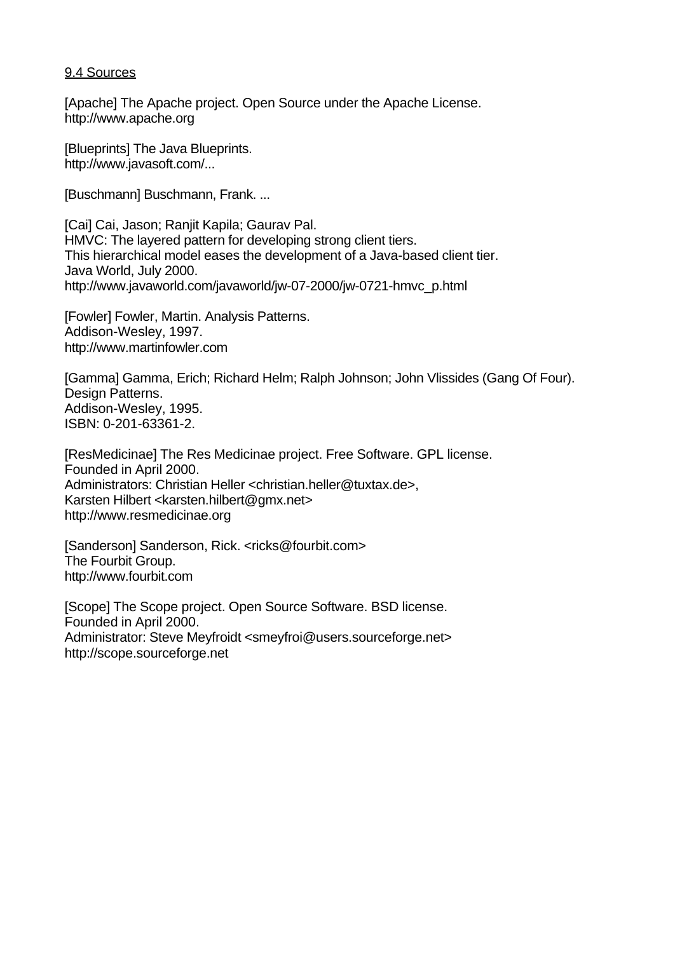### 9.4 Sources

[Apache] The Apache project. Open Source under the Apache License. http://www.apache.org

[Blueprints] The Java Blueprints. http://www.javasoft.com/...

[Buschmann] Buschmann, Frank. ...

[Cai] Cai, Jason; Ranjit Kapila; Gaurav Pal. HMVC: The layered pattern for developing strong client tiers. This hierarchical model eases the development of a Java-based client tier. Java World, July 2000. http://www.javaworld.com/javaworld/jw-07-2000/jw-0721-hmvc\_p.html

[Fowler] Fowler, Martin. Analysis Patterns. Addison-Wesley, 1997. http://www.martinfowler.com

[Gamma] Gamma, Erich; Richard Helm; Ralph Johnson; John Vlissides (Gang Of Four). Design Patterns. Addison-Wesley, 1995. ISBN: 0-201-63361-2.

[ResMedicinae] The Res Medicinae project. Free Software. GPL license. Founded in April 2000. Administrators: Christian Heller <christian.heller@tuxtax.de>, Karsten Hilbert <karsten.hilbert@gmx.net> http://www.resmedicinae.org

[Sanderson] Sanderson, Rick. <ricks@fourbit.com> The Fourbit Group. http://www.fourbit.com

[Scope] The Scope project. Open Source Software. BSD license. Founded in April 2000. Administrator: Steve Meyfroidt <smeyfroi@users.sourceforge.net> http://scope.sourceforge.net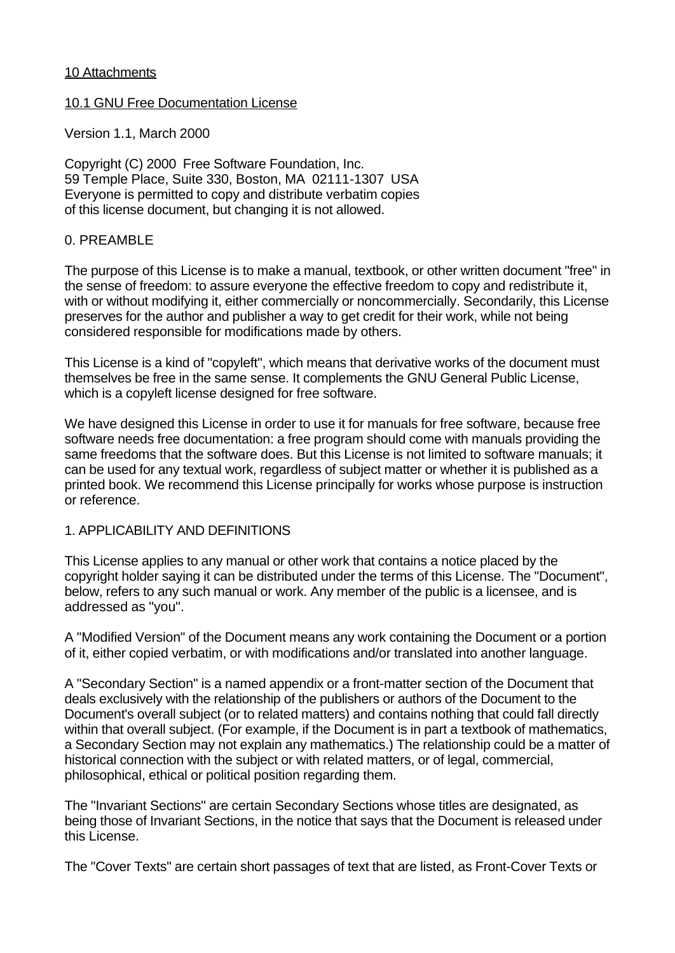## 10 Attachments

## 10.1 GNU Free Documentation License

Version 1.1, March 2000

Copyright (C) 2000 Free Software Foundation, Inc. 59 Temple Place, Suite 330, Boston, MA 02111-1307 USA Everyone is permitted to copy and distribute verbatim copies of this license document, but changing it is not allowed.

# 0. PREAMBLE

The purpose of this License is to make a manual, textbook, or other written document "free" in the sense of freedom: to assure everyone the effective freedom to copy and redistribute it, with or without modifying it, either commercially or noncommercially. Secondarily, this License preserves for the author and publisher a way to get credit for their work, while not being considered responsible for modifications made by others.

This License is a kind of "copyleft", which means that derivative works of the document must themselves be free in the same sense. It complements the GNU General Public License, which is a copyleft license designed for free software.

We have designed this License in order to use it for manuals for free software, because free software needs free documentation: a free program should come with manuals providing the same freedoms that the software does. But this License is not limited to software manuals; it can be used for any textual work, regardless of subject matter or whether it is published as a printed book. We recommend this License principally for works whose purpose is instruction or reference.

# 1. APPLICABILITY AND DEFINITIONS

This License applies to any manual or other work that contains a notice placed by the copyright holder saying it can be distributed under the terms of this License. The "Document", below, refers to any such manual or work. Any member of the public is a licensee, and is addressed as "you".

A "Modified Version" of the Document means any work containing the Document or a portion of it, either copied verbatim, or with modifications and/or translated into another language.

A "Secondary Section" is a named appendix or a front-matter section of the Document that deals exclusively with the relationship of the publishers or authors of the Document to the Document's overall subject (or to related matters) and contains nothing that could fall directly within that overall subject. (For example, if the Document is in part a textbook of mathematics, a Secondary Section may not explain any mathematics.) The relationship could be a matter of historical connection with the subject or with related matters, or of legal, commercial, philosophical, ethical or political position regarding them.

The "Invariant Sections" are certain Secondary Sections whose titles are designated, as being those of Invariant Sections, in the notice that says that the Document is released under this License.

The "Cover Texts" are certain short passages of text that are listed, as Front-Cover Texts or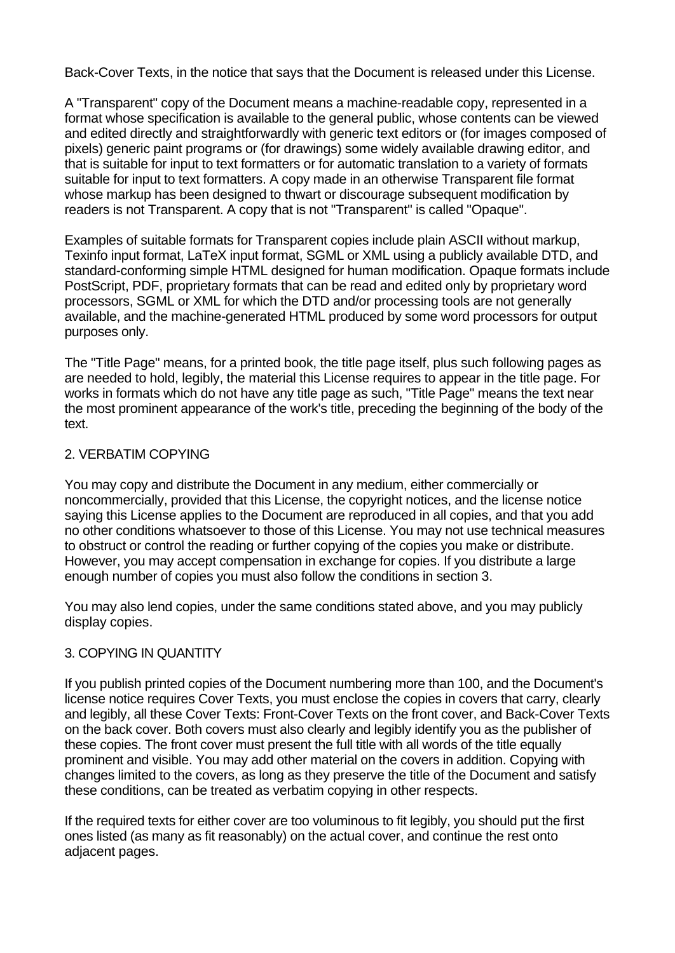Back-Cover Texts, in the notice that says that the Document is released under this License.

A "Transparent" copy of the Document means a machine-readable copy, represented in a format whose specification is available to the general public, whose contents can be viewed and edited directly and straightforwardly with generic text editors or (for images composed of pixels) generic paint programs or (for drawings) some widely available drawing editor, and that is suitable for input to text formatters or for automatic translation to a variety of formats suitable for input to text formatters. A copy made in an otherwise Transparent file format whose markup has been designed to thwart or discourage subsequent modification by readers is not Transparent. A copy that is not "Transparent" is called "Opaque".

Examples of suitable formats for Transparent copies include plain ASCII without markup, Texinfo input format, LaTeX input format, SGML or XML using a publicly available DTD, and standard-conforming simple HTML designed for human modification. Opaque formats include PostScript, PDF, proprietary formats that can be read and edited only by proprietary word processors, SGML or XML for which the DTD and/or processing tools are not generally available, and the machine-generated HTML produced by some word processors for output purposes only.

The "Title Page" means, for a printed book, the title page itself, plus such following pages as are needed to hold, legibly, the material this License requires to appear in the title page. For works in formats which do not have any title page as such, "Title Page" means the text near the most prominent appearance of the work's title, preceding the beginning of the body of the text.

# 2. VERBATIM COPYING

You may copy and distribute the Document in any medium, either commercially or noncommercially, provided that this License, the copyright notices, and the license notice saying this License applies to the Document are reproduced in all copies, and that you add no other conditions whatsoever to those of this License. You may not use technical measures to obstruct or control the reading or further copying of the copies you make or distribute. However, you may accept compensation in exchange for copies. If you distribute a large enough number of copies you must also follow the conditions in section 3.

You may also lend copies, under the same conditions stated above, and you may publicly display copies.

# 3. COPYING IN QUANTITY

If you publish printed copies of the Document numbering more than 100, and the Document's license notice requires Cover Texts, you must enclose the copies in covers that carry, clearly and legibly, all these Cover Texts: Front-Cover Texts on the front cover, and Back-Cover Texts on the back cover. Both covers must also clearly and legibly identify you as the publisher of these copies. The front cover must present the full title with all words of the title equally prominent and visible. You may add other material on the covers in addition. Copying with changes limited to the covers, as long as they preserve the title of the Document and satisfy these conditions, can be treated as verbatim copying in other respects.

If the required texts for either cover are too voluminous to fit legibly, you should put the first ones listed (as many as fit reasonably) on the actual cover, and continue the rest onto adjacent pages.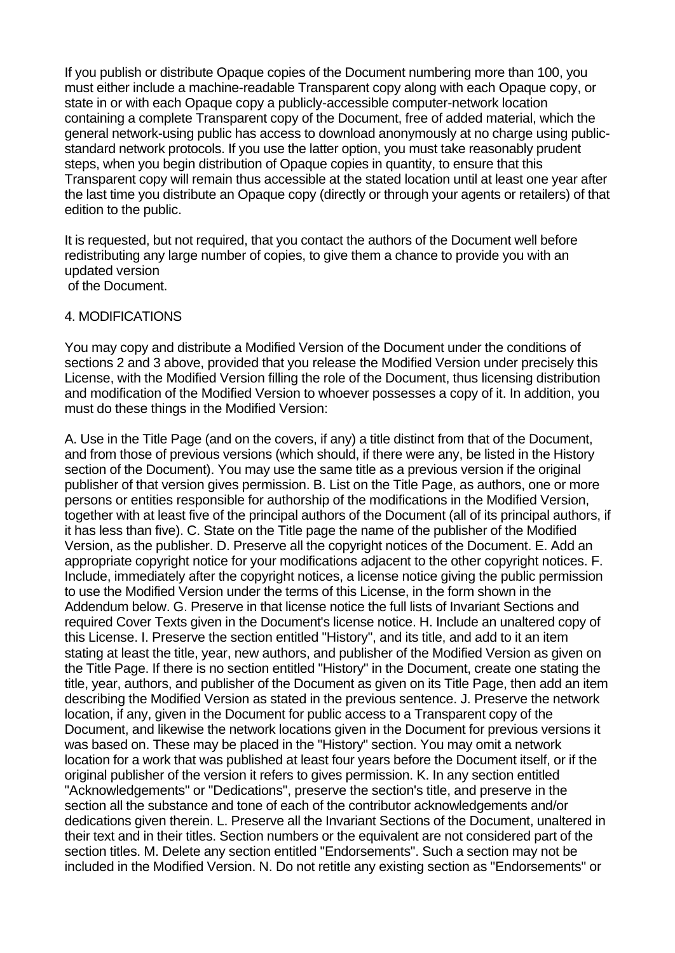If you publish or distribute Opaque copies of the Document numbering more than 100, you must either include a machine-readable Transparent copy along with each Opaque copy, or state in or with each Opaque copy a publicly-accessible computer-network location containing a complete Transparent copy of the Document, free of added material, which the general network-using public has access to download anonymously at no charge using publicstandard network protocols. If you use the latter option, you must take reasonably prudent steps, when you begin distribution of Opaque copies in quantity, to ensure that this Transparent copy will remain thus accessible at the stated location until at least one year after the last time you distribute an Opaque copy (directly or through your agents or retailers) of that edition to the public.

It is requested, but not required, that you contact the authors of the Document well before redistributing any large number of copies, to give them a chance to provide you with an updated version of the Document.

### 4. MODIFICATIONS

You may copy and distribute a Modified Version of the Document under the conditions of sections 2 and 3 above, provided that you release the Modified Version under precisely this License, with the Modified Version filling the role of the Document, thus licensing distribution and modification of the Modified Version to whoever possesses a copy of it. In addition, you must do these things in the Modified Version:

A. Use in the Title Page (and on the covers, if any) a title distinct from that of the Document, and from those of previous versions (which should, if there were any, be listed in the History section of the Document). You may use the same title as a previous version if the original publisher of that version gives permission. B. List on the Title Page, as authors, one or more persons or entities responsible for authorship of the modifications in the Modified Version, together with at least five of the principal authors of the Document (all of its principal authors, if it has less than five). C. State on the Title page the name of the publisher of the Modified Version, as the publisher. D. Preserve all the copyright notices of the Document. E. Add an appropriate copyright notice for your modifications adjacent to the other copyright notices. F. Include, immediately after the copyright notices, a license notice giving the public permission to use the Modified Version under the terms of this License, in the form shown in the Addendum below. G. Preserve in that license notice the full lists of Invariant Sections and required Cover Texts given in the Document's license notice. H. Include an unaltered copy of this License. I. Preserve the section entitled "History", and its title, and add to it an item stating at least the title, year, new authors, and publisher of the Modified Version as given on the Title Page. If there is no section entitled "History" in the Document, create one stating the title, year, authors, and publisher of the Document as given on its Title Page, then add an item describing the Modified Version as stated in the previous sentence. J. Preserve the network location, if any, given in the Document for public access to a Transparent copy of the Document, and likewise the network locations given in the Document for previous versions it was based on. These may be placed in the "History" section. You may omit a network location for a work that was published at least four years before the Document itself, or if the original publisher of the version it refers to gives permission. K. In any section entitled "Acknowledgements" or "Dedications", preserve the section's title, and preserve in the section all the substance and tone of each of the contributor acknowledgements and/or dedications given therein. L. Preserve all the Invariant Sections of the Document, unaltered in their text and in their titles. Section numbers or the equivalent are not considered part of the section titles. M. Delete any section entitled "Endorsements". Such a section may not be included in the Modified Version. N. Do not retitle any existing section as "Endorsements" or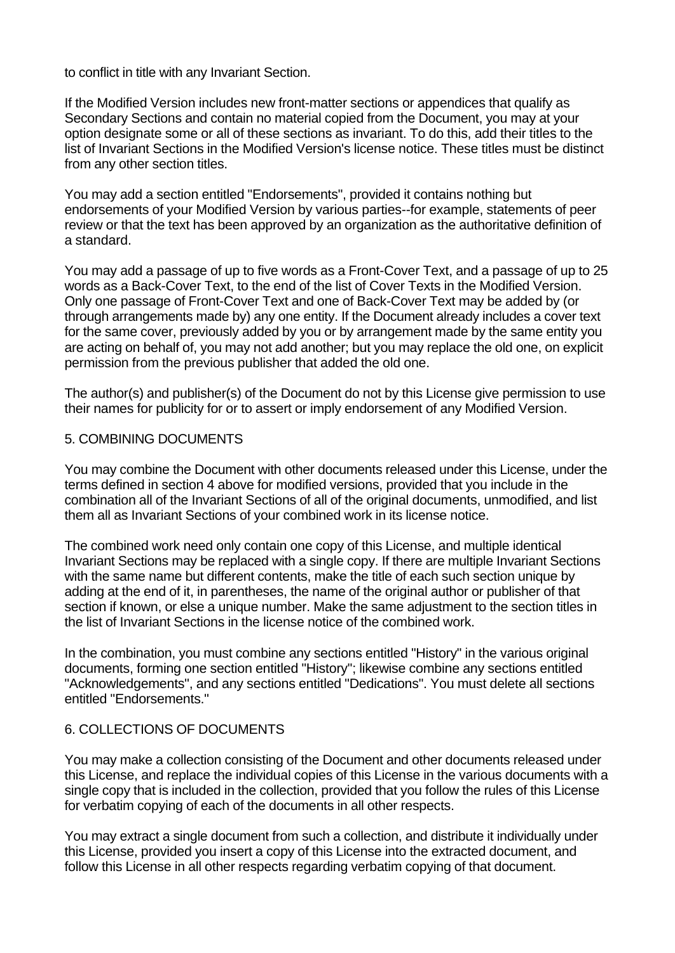to conflict in title with any Invariant Section.

If the Modified Version includes new front-matter sections or appendices that qualify as Secondary Sections and contain no material copied from the Document, you may at your option designate some or all of these sections as invariant. To do this, add their titles to the list of Invariant Sections in the Modified Version's license notice. These titles must be distinct from any other section titles.

You may add a section entitled "Endorsements", provided it contains nothing but endorsements of your Modified Version by various parties--for example, statements of peer review or that the text has been approved by an organization as the authoritative definition of a standard.

You may add a passage of up to five words as a Front-Cover Text, and a passage of up to 25 words as a Back-Cover Text, to the end of the list of Cover Texts in the Modified Version. Only one passage of Front-Cover Text and one of Back-Cover Text may be added by (or through arrangements made by) any one entity. If the Document already includes a cover text for the same cover, previously added by you or by arrangement made by the same entity you are acting on behalf of, you may not add another; but you may replace the old one, on explicit permission from the previous publisher that added the old one.

The author(s) and publisher(s) of the Document do not by this License give permission to use their names for publicity for or to assert or imply endorsement of any Modified Version.

# 5. COMBINING DOCUMENTS

You may combine the Document with other documents released under this License, under the terms defined in section 4 above for modified versions, provided that you include in the combination all of the Invariant Sections of all of the original documents, unmodified, and list them all as Invariant Sections of your combined work in its license notice.

The combined work need only contain one copy of this License, and multiple identical Invariant Sections may be replaced with a single copy. If there are multiple Invariant Sections with the same name but different contents, make the title of each such section unique by adding at the end of it, in parentheses, the name of the original author or publisher of that section if known, or else a unique number. Make the same adjustment to the section titles in the list of Invariant Sections in the license notice of the combined work.

In the combination, you must combine any sections entitled "History" in the various original documents, forming one section entitled "History"; likewise combine any sections entitled "Acknowledgements", and any sections entitled "Dedications". You must delete all sections entitled "Endorsements."

# 6. COLLECTIONS OF DOCUMENTS

You may make a collection consisting of the Document and other documents released under this License, and replace the individual copies of this License in the various documents with a single copy that is included in the collection, provided that you follow the rules of this License for verbatim copying of each of the documents in all other respects.

You may extract a single document from such a collection, and distribute it individually under this License, provided you insert a copy of this License into the extracted document, and follow this License in all other respects regarding verbatim copying of that document.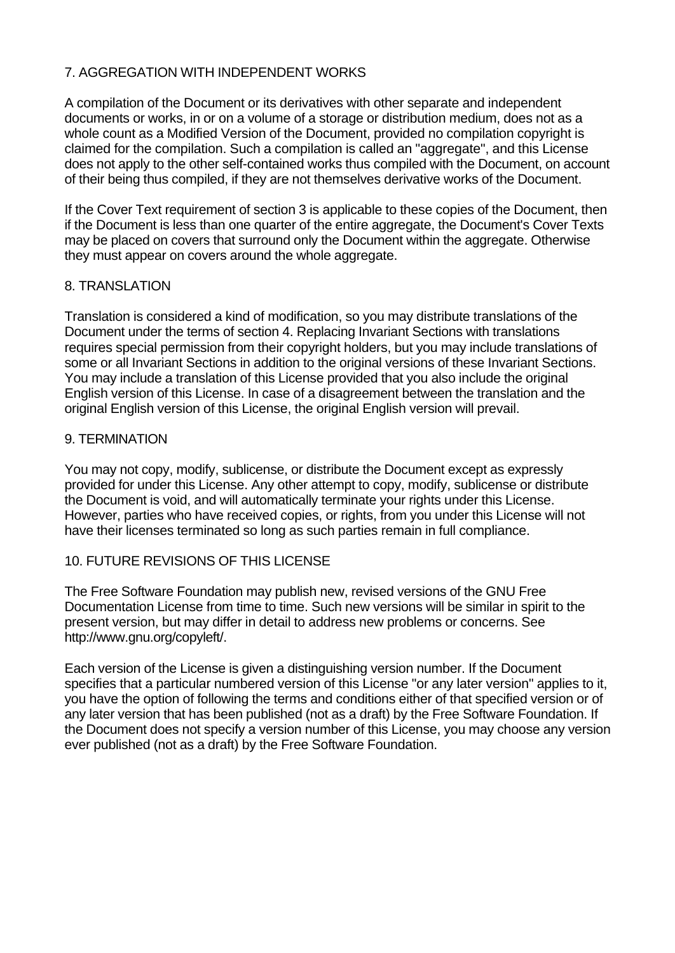# 7. AGGREGATION WITH INDEPENDENT WORKS

A compilation of the Document or its derivatives with other separate and independent documents or works, in or on a volume of a storage or distribution medium, does not as a whole count as a Modified Version of the Document, provided no compilation copyright is claimed for the compilation. Such a compilation is called an "aggregate", and this License does not apply to the other self-contained works thus compiled with the Document, on account of their being thus compiled, if they are not themselves derivative works of the Document.

If the Cover Text requirement of section 3 is applicable to these copies of the Document, then if the Document is less than one quarter of the entire aggregate, the Document's Cover Texts may be placed on covers that surround only the Document within the aggregate. Otherwise they must appear on covers around the whole aggregate.

# 8. TRANSLATION

Translation is considered a kind of modification, so you may distribute translations of the Document under the terms of section 4. Replacing Invariant Sections with translations requires special permission from their copyright holders, but you may include translations of some or all Invariant Sections in addition to the original versions of these Invariant Sections. You may include a translation of this License provided that you also include the original English version of this License. In case of a disagreement between the translation and the original English version of this License, the original English version will prevail.

# 9. TERMINATION

You may not copy, modify, sublicense, or distribute the Document except as expressly provided for under this License. Any other attempt to copy, modify, sublicense or distribute the Document is void, and will automatically terminate your rights under this License. However, parties who have received copies, or rights, from you under this License will not have their licenses terminated so long as such parties remain in full compliance.

# 10. FUTURE REVISIONS OF THIS LICENSE

The Free Software Foundation may publish new, revised versions of the GNU Free Documentation License from time to time. Such new versions will be similar in spirit to the present version, but may differ in detail to address new problems or concerns. See http://www.gnu.org/copyleft/.

Each version of the License is given a distinguishing version number. If the Document specifies that a particular numbered version of this License "or any later version" applies to it, you have the option of following the terms and conditions either of that specified version or of any later version that has been published (not as a draft) by the Free Software Foundation. If the Document does not specify a version number of this License, you may choose any version ever published (not as a draft) by the Free Software Foundation.